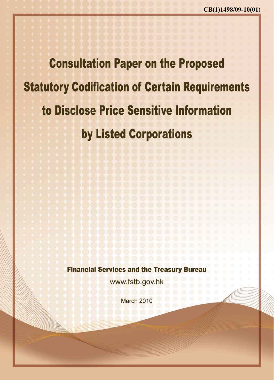**Consultation Paper on the Proposed Statutory Codification of Certain Requirements** to Disclose Price Sensitive Information by Listed Corporations

**Financial Services and the Treasury Bureau** 

www.fstb.gov.hk

March 2010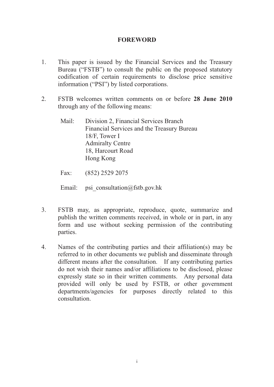## **FOREWORD**

- 1. This paper is issued by the Financial Services and the Treasury Bureau ("FSTB") to consult the public on the proposed statutory codification of certain requirements to disclose price sensitive information ("PSI") by listed corporations.
- 2. FSTB welcomes written comments on or before **28 June 2010**  through any of the following means:
	- Mail: Division 2, Financial Services Branch Financial Services and the Treasury Bureau 18/F, Tower I Admiralty Centre 18, Harcourt Road Hong Kong

Fax: (852) 2529 2075

Email: psi consultation@fstb.gov.hk

- 3. FSTB may, as appropriate, reproduce, quote, summarize and publish the written comments received, in whole or in part, in any form and use without seeking permission of the contributing parties.
- 4. Names of the contributing parties and their affiliation(s) may be referred to in other documents we publish and disseminate through different means after the consultation. If any contributing parties do not wish their names and/or affiliations to be disclosed, please expressly state so in their written comments. Any personal data provided will only be used by FSTB, or other government departments/agencies for purposes directly related to this consultation.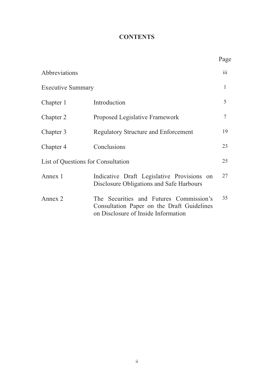# **CONTENTS**

|                                    |                                                                                                                              | Page             |
|------------------------------------|------------------------------------------------------------------------------------------------------------------------------|------------------|
| Abbreviations                      |                                                                                                                              | $\overline{111}$ |
| <b>Executive Summary</b>           |                                                                                                                              | $\mathbf{1}$     |
| Chapter 1                          | Introduction                                                                                                                 | 5                |
| Chapter 2                          | Proposed Legislative Framework                                                                                               | $\tau$           |
| Chapter 3                          | <b>Regulatory Structure and Enforcement</b>                                                                                  | 19               |
| Chapter 4                          | Conclusions                                                                                                                  | 23               |
| List of Questions for Consultation |                                                                                                                              | 25               |
| Annex 1                            | Indicative Draft Legislative Provisions on<br>Disclosure Obligations and Safe Harbours                                       | 27               |
| Annex 2                            | The Securities and Futures Commission's<br>Consultation Paper on the Draft Guidelines<br>on Disclosure of Inside Information | 35               |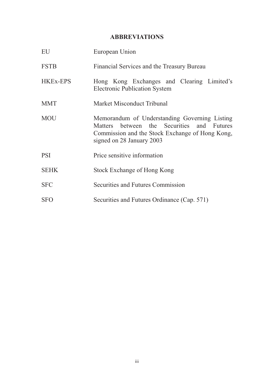## **ABBREVIATIONS**

| EU              | European Union                                                                                                                                                              |
|-----------------|-----------------------------------------------------------------------------------------------------------------------------------------------------------------------------|
| <b>FSTB</b>     | Financial Services and the Treasury Bureau                                                                                                                                  |
| <b>HKEx-EPS</b> | Hong Kong Exchanges and Clearing Limited's<br><b>Electronic Publication System</b>                                                                                          |
| <b>MMT</b>      | Market Misconduct Tribunal                                                                                                                                                  |
| <b>MOU</b>      | Memorandum of Understanding Governing Listing<br>Matters between the Securities and Futures<br>Commission and the Stock Exchange of Hong Kong,<br>signed on 28 January 2003 |
| <b>PSI</b>      | Price sensitive information                                                                                                                                                 |
| <b>SEHK</b>     | Stock Exchange of Hong Kong                                                                                                                                                 |
| <b>SFC</b>      | Securities and Futures Commission                                                                                                                                           |
| <b>SFO</b>      | Securities and Futures Ordinance (Cap. 571)                                                                                                                                 |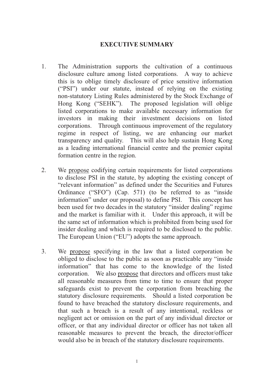## **EXECUTIVE SUMMARY**

- 1. The Administration supports the cultivation of a continuous disclosure culture among listed corporations. A way to achieve this is to oblige timely disclosure of price sensitive information ("PSI") under our statute, instead of relying on the existing non-statutory Listing Rules administered by the Stock Exchange of Hong Kong ("SEHK"). The proposed legislation will oblige listed corporations to make available necessary information for investors in making their investment decisions on listed corporations. Through continuous improvement of the regulatory regime in respect of listing, we are enhancing our market transparency and quality. This will also help sustain Hong Kong as a leading international financial centre and the premier capital formation centre in the region.
- 2. We propose codifying certain requirements for listed corporations to disclose PSI in the statute, by adopting the existing concept of "relevant information" as defined under the Securities and Futures Ordinance ("SFO") (Cap. 571) (to be referred to as "inside information" under our proposal) to define PSI. This concept has been used for two decades in the statutory "insider dealing" regime and the market is familiar with it. Under this approach, it will be the same set of information which is prohibited from being used for insider dealing and which is required to be disclosed to the public. The European Union ("EU") adopts the same approach.
- 3. We propose specifying in the law that a listed corporation be obliged to disclose to the public as soon as practicable any "inside information" that has come to the knowledge of the listed corporation. We also propose that directors and officers must take all reasonable measures from time to time to ensure that proper safeguards exist to prevent the corporation from breaching the statutory disclosure requirements. Should a listed corporation be found to have breached the statutory disclosure requirements, and that such a breach is a result of any intentional, reckless or negligent act or omission on the part of any individual director or officer, or that any individual director or officer has not taken all reasonable measures to prevent the breach, the director/officer would also be in breach of the statutory disclosure requirements.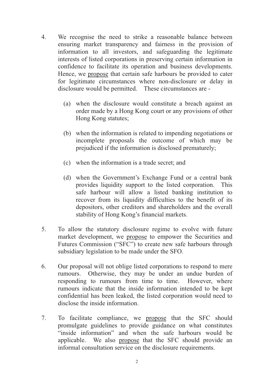- 4. We recognise the need to strike a reasonable balance between ensuring market transparency and fairness in the provision of information to all investors, and safeguarding the legitimate interests of listed corporations in preserving certain information in confidence to facilitate its operation and business developments. Hence, we propose that certain safe harbours be provided to cater for legitimate circumstances where non-disclosure or delay in disclosure would be permitted. These circumstances are -
	- (a) when the disclosure would constitute a breach against an order made by a Hong Kong court or any provisions of other Hong Kong statutes;
	- (b) when the information is related to impending negotiations or incomplete proposals the outcome of which may be prejudiced if the information is disclosed prematurely;
	- (c) when the information is a trade secret; and
	- (d) when the Government's Exchange Fund or a central bank provides liquidity support to the listed corporation. This safe harbour will allow a listed banking institution to recover from its liquidity difficulties to the benefit of its depositors, other creditors and shareholders and the overall stability of Hong Kong's financial markets.
- 5. To allow the statutory disclosure regime to evolve with future market development, we propose to empower the Securities and Futures Commission ("SFC") to create new safe harbours through subsidiary legislation to be made under the SFO.
- 6. Our proposal will not oblige listed corporations to respond to mere rumours. Otherwise, they may be under an undue burden of responding to rumours from time to time. However, where rumours indicate that the inside information intended to be kept confidential has been leaked, the listed corporation would need to disclose the inside information.
- 7. To facilitate compliance, we propose that the SFC should promulgate guidelines to provide guidance on what constitutes "inside information" and when the safe harbours would be applicable. We also propose that the SFC should provide an informal consultation service on the disclosure requirements.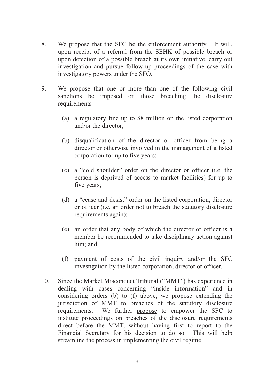- 8. We propose that the SFC be the enforcement authority. It will, upon receipt of a referral from the SEHK of possible breach or upon detection of a possible breach at its own initiative, carry out investigation and pursue follow-up proceedings of the case with investigatory powers under the SFO.
- 9. We propose that one or more than one of the following civil sanctions be imposed on those breaching the disclosure requirements-
	- (a) a regulatory fine up to \$8 million on the listed corporation and/or the director;
	- (b) disqualification of the director or officer from being a director or otherwise involved in the management of a listed corporation for up to five years;
	- (c) a "cold shoulder" order on the director or officer (i.e. the person is deprived of access to market facilities) for up to five years;
	- (d) a "cease and desist" order on the listed corporation, director or officer (i.e. an order not to breach the statutory disclosure requirements again);
	- (e) an order that any body of which the director or officer is a member be recommended to take disciplinary action against him; and
	- (f) payment of costs of the civil inquiry and/or the SFC investigation by the listed corporation, director or officer.
- 10. Since the Market Misconduct Tribunal ("MMT") has experience in dealing with cases concerning "inside information" and in considering orders (b) to (f) above, we propose extending the jurisdiction of MMT to breaches of the statutory disclosure requirements. We further propose to empower the SFC to institute proceedings on breaches of the disclosure requirements direct before the MMT, without having first to report to the Financial Secretary for his decision to do so. This will help streamline the process in implementing the civil regime.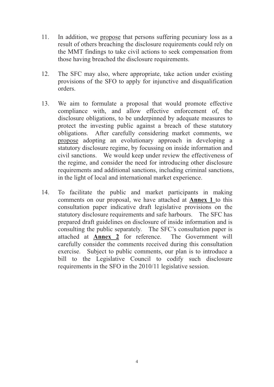- 11. In addition, we propose that persons suffering pecuniary loss as a result of others breaching the disclosure requirements could rely on the MMT findings to take civil actions to seek compensation from those having breached the disclosure requirements.
- 12. The SFC may also, where appropriate, take action under existing provisions of the SFO to apply for injunctive and disqualification orders.
- 13. We aim to formulate a proposal that would promote effective compliance with, and allow effective enforcement of, the disclosure obligations, to be underpinned by adequate measures to protect the investing public against a breach of these statutory obligations. After carefully considering market comments, we propose adopting an evolutionary approach in developing a statutory disclosure regime, by focussing on inside information and civil sanctions. We would keep under review the effectiveness of the regime, and consider the need for introducing other disclosure requirements and additional sanctions, including criminal sanctions, in the light of local and international market experience.
- 14. To facilitate the public and market participants in making comments on our proposal, we have attached at **Annex 1** to this consultation paper indicative draft legislative provisions on the statutory disclosure requirements and safe harbours. The SFC has prepared draft guidelines on disclosure of inside information and is consulting the public separately. The SFC's consultation paper is attached at **Annex 2** for reference. The Government will carefully consider the comments received during this consultation exercise. Subject to public comments, our plan is to introduce a bill to the Legislative Council to codify such disclosure requirements in the SFO in the 2010/11 legislative session.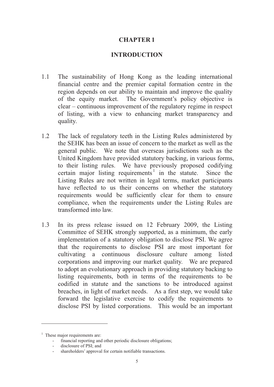## **CHAPTER 1**

## **INTRODUCTION**

- 1.1 The sustainability of Hong Kong as the leading international financial centre and the premier capital formation centre in the region depends on our ability to maintain and improve the quality of the equity market. The Government's policy objective is clear – continuous improvement of the regulatory regime in respect of listing, with a view to enhancing market transparency and quality.
- 1.2 The lack of regulatory teeth in the Listing Rules administered by the SEHK has been an issue of concern to the market as well as the general public. We note that overseas jurisdictions such as the United Kingdom have provided statutory backing, in various forms, to their listing rules. We have previously proposed codifying certain major listing requirements<sup>1</sup> in the statute. Since the Listing Rules are not written in legal terms, market participants have reflected to us their concerns on whether the statutory requirements would be sufficiently clear for them to ensure compliance, when the requirements under the Listing Rules are transformed into law.
- 1.3 In its press release issued on 12 February 2009, the Listing Committee of SEHK strongly supported, as a minimum, the early implementation of a statutory obligation to disclose PSI. We agree that the requirements to disclose PSI are most important for cultivating a continuous disclosure culture among listed corporations and improving our market quality. We are prepared to adopt an evolutionary approach in providing statutory backing to listing requirements, both in terms of the requirements to be codified in statute and the sanctions to be introduced against breaches, in light of market needs. As a first step, we would take forward the legislative exercise to codify the requirements to disclose PSI by listed corporations. This would be an important

<sup>&</sup>lt;sup>1</sup> These major requirements are:

<sup>-</sup> financial reporting and other periodic disclosure obligations;

<sup>-</sup> disclosure of PSI; and

<sup>-</sup> shareholders' approval for certain notifiable transactions.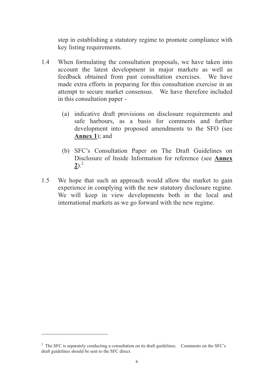step in establishing a statutory regime to promote compliance with key listing requirements.

- 1.4 When formulating the consultation proposals, we have taken into account the latest development in major markets as well as feedback obtained from past consultation exercises. We have made extra efforts in preparing for this consultation exercise in an attempt to secure market consensus. We have therefore included in this consultation paper -
	- (a) indicative draft provisions on disclosure requirements and safe harbours, as a basis for comments and further development into proposed amendments to the SFO (see **Annex 1**); and
	- (b) SFC's Consultation Paper on The Draft Guidelines on Disclosure of Inside Information for reference (see **Annex 2**).<sup>2</sup>
- 1.5 We hope that such an approach would allow the market to gain experience in complying with the new statutory disclosure regime. We will keep in view developments both in the local and international markets as we go forward with the new regime.

<sup>&</sup>lt;sup>2</sup> The SFC is separately conducting a consultation on its draft guidelines. Comments on the SFC's draft guidelines should be sent to the SFC direct.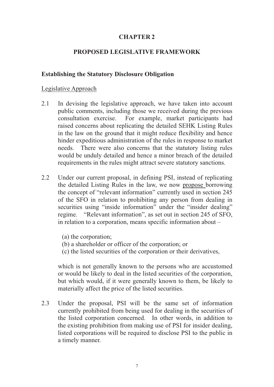## **CHAPTER 2**

## **PROPOSED LEGISLATIVE FRAMEWORK**

#### **Establishing the Statutory Disclosure Obligation**

#### Legislative Approach

- 2.1 In devising the legislative approach, we have taken into account public comments, including those we received during the previous consultation exercise. For example, market participants had raised concerns about replicating the detailed SEHK Listing Rules in the law on the ground that it might reduce flexibility and hence hinder expeditious administration of the rules in response to market needs. There were also concerns that the statutory listing rules would be unduly detailed and hence a minor breach of the detailed requirements in the rules might attract severe statutory sanctions.
- 2.2 Under our current proposal, in defining PSI, instead of replicating the detailed Listing Rules in the law, we now propose borrowing the concept of "relevant information" currently used in section 245 of the SFO in relation to prohibiting any person from dealing in securities using "inside information" under the "insider dealing" regime. "Relevant information", as set out in section 245 of SFO, in relation to a corporation, means specific information about –
	- (a) the corporation;
	- (b) a shareholder or officer of the corporation; or
	- (c) the listed securities of the corporation or their derivatives,

which is not generally known to the persons who are accustomed or would be likely to deal in the listed securities of the corporation, but which would, if it were generally known to them, be likely to materially affect the price of the listed securities.

2.3 Under the proposal, PSI will be the same set of information currently prohibited from being used for dealing in the securities of the listed corporation concerned. In other words, in addition to the existing prohibition from making use of PSI for insider dealing, listed corporations will be required to disclose PSI to the public in a timely manner.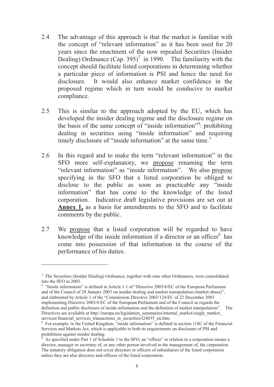- 2.4 The advantage of this approach is that the market is familiar with the concept of "relevant information" as it has been used for 20 years since the enactment of the now repealed Securities (Insider Dealing) Ordinance  $(Cap. 395)^3$  in 1990. The familiarity with the concept should facilitate listed corporations in determining whether a particular piece of information is PSI and hence the need for disclosure. It would also enhance market confidence in the proposed regime which in turn would be conducive to market compliance.
- 2.5 This is similar to the approach adopted by the EU, which has developed the insider dealing regime and the disclosure regime on the basis of the same concept of "inside information"<sup>4</sup>: prohibiting dealing in securities using "inside information" and requiring timely disclosure of "inside information" at the same time.<sup>5</sup>
- 2.6 In this regard and to make the term "relevant information" in the SFO more self-explanatory, we propose renaming the term "relevant information" as "inside information". We also propose specifying in the SFO that a listed corporation be obliged to disclose to the public as soon as practicable any "inside information" that has come to the knowledge of the listed corporation. Indicative draft legislative provisions are set out at **Annex 1,** as a basis for amendments to the SFO and to facilitate comments by the public.
- 2.7 We propose that a listed corporation will be regarded to have knowledge of the inside information if a director or an officer $6$  has come into possession of that information in the course of the performance of his duties.

<sup>&</sup>lt;sup>3</sup> The Securities (Insider Dealing) Ordinance, together with nine other Ordinances, were consolidated into the SFO in 2003.

<sup>&</sup>lt;sup>4</sup> "Inside information" is defined in Article 1.1 of "Directive 2003/6/EC of the European Parliament and of the Council of 28 January 2003 on insider dealing and market manipulation (market abuse)", and elaborated by Article 1 of the "Commission Directive 2003/124/EC of 22 December 2003 implementing Directive 2003/6/EC of the European Parliament and of the Council as regards the definition and public disclosure of inside information and the definition of market manipulation". The Directives are available at http://europa.eu/legislation\_summaries/internal\_market/single\_market\_ services/financial\_services\_transactions\_in\_securities/l24035\_en.htm.

 $5$  For example, in the United Kingdom,  $\frac{1}{10}$  inside information" is defined in section 118C of the Financial Services and Markets Act, which is applicable to both its requirements on disclosure of PSI and prohibition against insider dealing.

 $6$  As specified under Part 1 of Schedule 1 to the SFO, an "officer" in relation to a corporation means a director, manager or secretary of, or any other person involved in the management of, the corporation. The statutory obligation does not cover directors or officers of subsidiaries of the listed corporation unless they are also directors and officers of the listed corporation.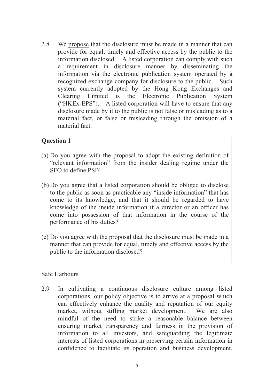2.8 We propose that the disclosure must be made in a manner that can provide for equal, timely and effective access by the public to the information disclosed. A listed corporation can comply with such a requirement in disclosure manner by disseminating the information via the electronic publication system operated by a recognized exchange company for disclosure to the public. Such system currently adopted by the Hong Kong Exchanges and Clearing Limited is the Electronic Publication System ("HKEx-EPS"). A listed corporation will have to ensure that any disclosure made by it to the public is not false or misleading as to a material fact, or false or misleading through the omission of a material fact.

## **Question 1**

- (a) Do you agree with the proposal to adopt the existing definition of "relevant information" from the insider dealing regime under the SFO to define PSI?
- (b) Do you agree that a listed corporation should be obliged to disclose to the public as soon as practicable any "inside information" that has come to its knowledge, and that it should be regarded to have knowledge of the inside information if a director or an officer has come into possession of that information in the course of the performance of his duties?
- (c) Do you agree with the proposal that the disclosure must be made in a manner that can provide for equal, timely and effective access by the public to the information disclosed?

## Safe Harbours

2.9 In cultivating a continuous disclosure culture among listed corporations, our policy objective is to arrive at a proposal which can effectively enhance the quality and reputation of our equity market, without stifling market development. We are also mindful of the need to strike a reasonable balance between ensuring market transparency and fairness in the provision of information to all investors, and safeguarding the legitimate interests of listed corporations in preserving certain information in confidence to facilitate its operation and business development.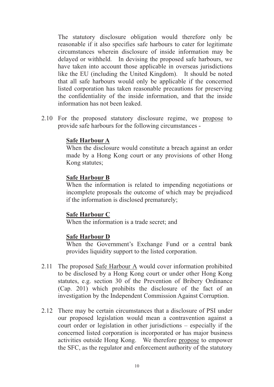The statutory disclosure obligation would therefore only be reasonable if it also specifies safe harbours to cater for legitimate circumstances wherein disclosure of inside information may be delayed or withheld. In devising the proposed safe harbours, we have taken into account those applicable in overseas jurisdictions like the EU (including the United Kingdom). It should be noted that all safe harbours would only be applicable if the concerned listed corporation has taken reasonable precautions for preserving the confidentiality of the inside information, and that the inside information has not been leaked.

2.10 For the proposed statutory disclosure regime, we propose to provide safe harbours for the following circumstances -

## **Safe Harbour A**

When the disclosure would constitute a breach against an order made by a Hong Kong court or any provisions of other Hong Kong statutes;

## **Safe Harbour B**

When the information is related to impending negotiations or incomplete proposals the outcome of which may be prejudiced if the information is disclosed prematurely;

## **Safe Harbour C**

When the information is a trade secret; and

## **Safe Harbour D**

When the Government's Exchange Fund or a central bank provides liquidity support to the listed corporation.

- 2.11 The proposed Safe Harbour A would cover information prohibited to be disclosed by a Hong Kong court or under other Hong Kong statutes, e.g. section 30 of the Prevention of Bribery Ordinance (Cap. 201) which prohibits the disclosure of the fact of an investigation by the Independent Commission Against Corruption.
- 2.12 There may be certain circumstances that a disclosure of PSI under our proposed legislation would mean a contravention against a court order or legislation in other jurisdictions – especially if the concerned listed corporation is incorporated or has major business activities outside Hong Kong. We therefore propose to empower the SFC, as the regulator and enforcement authority of the statutory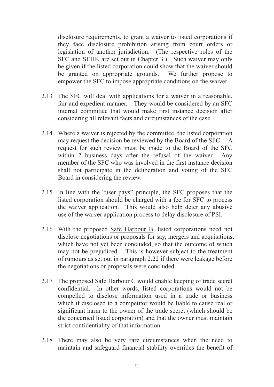disclosure requirements, to grant a waiver to listed corporations if they face disclosure prohibition arising from court orders or legislation of another jurisdiction. (The respective roles of the SFC and SEHK are set out in Chapter 3.) Such waiver may only be given if the listed corporation could show that the waiver should be granted on appropriate grounds. We further propose to empower the SFC to impose appropriate conditions on the waiver.

- 2.13 The SFC will deal with applications for a waiver in a reasonable, fair and expedient manner. They would be considered by an SFC internal committee that would make first instance decision after considering all relevant facts and circumstances of the case.
- 2.14 Where a waiver is rejected by the committee, the listed corporation may request the decision be reviewed by the Board of the SFC. A request for such review must be made to the Board of the SFC within 2 business days after the refusal of the waiver. Any member of the SFC who was involved in the first instance decision shall not participate in the deliberation and voting of the SFC Board in considering the review.
- 2.15 In line with the "user pays" principle, the SFC proposes that the listed corporation should be charged with a fee for SFC to process the waiver application. This would also help deter any abusive use of the waiver application process to delay disclosure of PSI.
- 2.16 With the proposed Safe Harbour B, listed corporations need not disclose negotiations or proposals for say, mergers and acquisitions, which have not yet been concluded, so that the outcome of which may not be prejudiced. This is however subject to the treatment of rumours as set out in paragraph 2.22 if there were leakage before the negotiations or proposals were concluded.
- 2.17 The proposed Safe Harbour C would enable keeping of trade secret confidential. In other words, listed corporations would not be compelled to disclose information used in a trade or business which if disclosed to a competitor would be liable to cause real or significant harm to the owner of the trade secret (which should be the concerned listed corporation) and that the owner must maintain strict confidentiality of that information.
- 2.18 There may also be very rare circumstances when the need to maintain and safeguard financial stability overrides the benefit of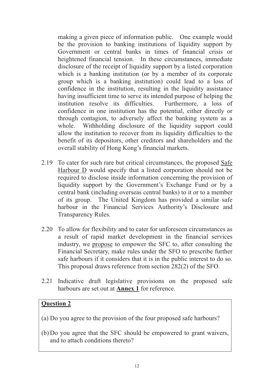making a given piece of information public. One example would be the provision to banking institutions of liquidity support by Government or central banks in times of financial crisis or heightened financial tension. In these circumstances, immediate disclosure of the receipt of liquidity support by a listed corporation which is a banking institution (or by a member of its corporate group which is a banking institution) could lead to a loss of confidence in the institution, resulting in the liquidity assistance having insufficient time to serve its intended purpose of helping the institution resolve its difficulties. Furthermore, a loss of confidence in one institution has the potential, either directly or through contagion, to adversely affect the banking system as a whole. Withholding disclosure of the liquidity support could allow the institution to recover from its liquidity difficulties to the benefit of its depositors, other creditors and shareholders and the overall stability of Hong Kong's financial markets.

- 2.19 To cater for such rare but critical circumstances, the proposed Safe Harbour D would specify that a listed corporation should not be required to disclose inside information concerning the provision of liquidity support by the Government's Exchange Fund or by a central bank (including overseas central banks) to it or to a member of its group. The United Kingdom has provided a similar safe harbour in the Financial Services Authority's Disclosure and Transparency Rules.
- 2.20 To allow for flexibility and to cater for unforeseen circumstances as a result of rapid market development in the financial services industry, we propose to empower the SFC to, after consulting the Financial Secretary, make rules under the SFO to prescribe further safe harbours if it considers that it is in the public interest to do so. This proposal draws reference from section 282(2) of the SFO.
- 2.21 Indicative draft legislative provisions on the proposed safe harbours are set out at **Annex 1** for reference.

## **Question 2**

- (a) Do you agree to the provision of the four proposed safe harbours?
- (b) Do you agree that the SFC should be empowered to grant waivers, and to attach conditions thereto?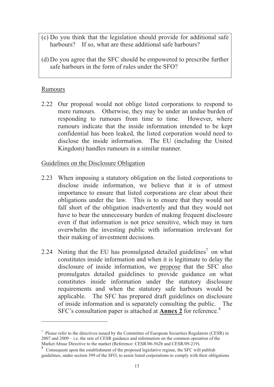- (c) Do you think that the legislation should provide for additional safe harbours? If so, what are these additional safe harbours?
- (d) Do you agree that the SFC should be empowered to prescribe further safe harbours in the form of rules under the SFO?

## Rumours

2.22 Our proposal would not oblige listed corporations to respond to mere rumours. Otherwise, they may be under an undue burden of responding to rumours from time to time. However, where rumours indicate that the inside information intended to be kept confidential has been leaked, the listed corporation would need to disclose the inside information. The EU (including the United Kingdom) handles rumours in a similar manner.

## Guidelines on the Disclosure Obligation

- 2.23 When imposing a statutory obligation on the listed corporations to disclose inside information, we believe that it is of utmost importance to ensure that listed corporations are clear about their obligations under the law. This is to ensure that they would not fall short of the obligation inadvertently and that they would not have to bear the unnecessary burden of making frequent disclosure even if that information is not price sensitive, which may in turn overwhelm the investing public with information irrelevant for their making of investment decisions.
- 2.24 Noting that the EU has promulgated detailed guidelines<sup>7</sup> on what constitutes inside information and when it is legitimate to delay the disclosure of inside information, we propose that the SFC also promulgates detailed guidelines to provide guidance on what constitutes inside information under the statutory disclosure requirements and when the statutory safe harbours would be applicable. The SFC has prepared draft guidelines on disclosure of inside information and is separately consulting the public. The SFC's consultation paper is attached at **Annex 2** for reference.<sup>8</sup>

 $<sup>7</sup>$  Please refer to the directives issued by the Committee of European Securities Regulators (CESR) in</sup> 2007 and 2009 – i.e. the sets of CESR guidance and information on the common operation of the Market Abuse Directive to the market (Reference: CESR/06-562b and CESR/09-219).

<sup>8</sup> Consequent upon the establishment of the proposed legislative regime, the SFC will publish guidelines, under section 399 of the SFO, to assist listed corporations to comply with their obligations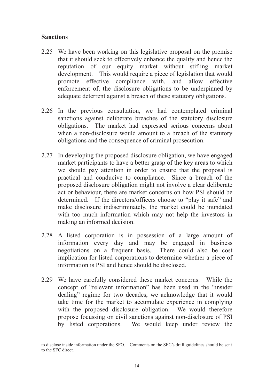## **Sanctions**

- 2.25 We have been working on this legislative proposal on the premise that it should seek to effectively enhance the quality and hence the reputation of our equity market without stifling market development. This would require a piece of legislation that would promote effective compliance with, and allow effective enforcement of, the disclosure obligations to be underpinned by adequate deterrent against a breach of these statutory obligations.
- 2.26 In the previous consultation, we had contemplated criminal sanctions against deliberate breaches of the statutory disclosure obligations. The market had expressed serious concerns about when a non-disclosure would amount to a breach of the statutory obligations and the consequence of criminal prosecution.
- 2.27 In developing the proposed disclosure obligation, we have engaged market participants to have a better grasp of the key areas to which we should pay attention in order to ensure that the proposal is practical and conducive to compliance. Since a breach of the proposed disclosure obligation might not involve a clear deliberate act or behaviour, there are market concerns on how PSI should be determined. If the directors/officers choose to "play it safe" and make disclosure indiscriminately, the market could be inundated with too much information which may not help the investors in making an informed decision.
- 2.28 A listed corporation is in possession of a large amount of information every day and may be engaged in business negotiations on a frequent basis. There could also be cost implication for listed corporations to determine whether a piece of information is PSI and hence should be disclosed.
- 2.29 We have carefully considered these market concerns. While the concept of "relevant information" has been used in the "insider dealing" regime for two decades, we acknowledge that it would take time for the market to accumulate experience in complying with the proposed disclosure obligation. We would therefore propose focussing on civil sanctions against non-disclosure of PSI by listed corporations. We would keep under review the

to disclose inside information under the SFO. Comments on the SFC's draft guidelines should be sent to the SFC direct.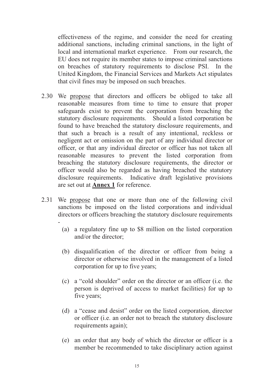effectiveness of the regime, and consider the need for creating additional sanctions, including criminal sanctions, in the light of local and international market experience. From our research, the EU does not require its member states to impose criminal sanctions on breaches of statutory requirements to disclose PSI. In the United Kingdom, the Financial Services and Markets Act stipulates that civil fines may be imposed on such breaches.

- 2.30 We propose that directors and officers be obliged to take all reasonable measures from time to time to ensure that proper safeguards exist to prevent the corporation from breaching the statutory disclosure requirements. Should a listed corporation be found to have breached the statutory disclosure requirements, and that such a breach is a result of any intentional, reckless or negligent act or omission on the part of any individual director or officer, or that any individual director or officer has not taken all reasonable measures to prevent the listed corporation from breaching the statutory disclosure requirements, the director or officer would also be regarded as having breached the statutory disclosure requirements. Indicative draft legislative provisions are set out at **Annex 1** for reference.
- 2.31 We propose that one or more than one of the following civil sanctions be imposed on the listed corporations and individual directors or officers breaching the statutory disclosure requirements -
	- (a) a regulatory fine up to \$8 million on the listed corporation and/or the director;
	- (b) disqualification of the director or officer from being a director or otherwise involved in the management of a listed corporation for up to five years;
	- (c) a "cold shoulder" order on the director or an officer (i.e. the person is deprived of access to market facilities) for up to five years;
	- (d) a "cease and desist" order on the listed corporation, director or officer (i.e. an order not to breach the statutory disclosure requirements again);
	- (e) an order that any body of which the director or officer is a member be recommended to take disciplinary action against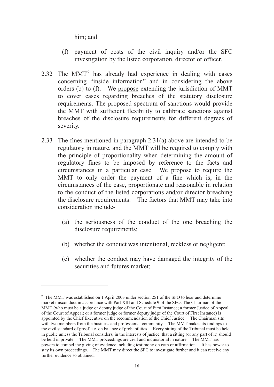him; and

- (f) payment of costs of the civil inquiry and/or the SFC investigation by the listed corporation, director or officer.
- 2.32 The  $MMT<sup>9</sup>$  has already had experience in dealing with cases concerning "inside information" and in considering the above orders (b) to (f). We propose extending the jurisdiction of MMT to cover cases regarding breaches of the statutory disclosure requirements. The proposed spectrum of sanctions would provide the MMT with sufficient flexibility to calibrate sanctions against breaches of the disclosure requirements for different degrees of severity.
- 2.33 The fines mentioned in paragraph 2.31(a) above are intended to be regulatory in nature, and the MMT will be required to comply with the principle of proportionality when determining the amount of regulatory fines to be imposed by reference to the facts and circumstances in a particular case. We propose to require the MMT to only order the payment of a fine which is, in the circumstances of the case, proportionate and reasonable in relation to the conduct of the listed corporations and/or director breaching the disclosure requirements. The factors that MMT may take into consideration include-
	- (a) the seriousness of the conduct of the one breaching the disclosure requirements;
	- (b) whether the conduct was intentional, reckless or negligent;
	- (c) whether the conduct may have damaged the integrity of the securities and futures market;

<sup>&</sup>lt;sup>9</sup> The MMT was established on 1 April 2003 under section 251 of the SFO to hear and determine market misconduct in accordance with Part XIII and Schedule 9 of the SFO. The Chairman of the MMT (who must be a judge or deputy judge of the Court of First Instance; a former Justice of Appeal of the Court of Appeal; or a former judge or former deputy judge of the Court of First Instance) is appointed by the Chief Executive on the recommendation of the Chief Justice. The Chairman sits with two members from the business and professional community. The MMT makes its findings to the civil standard of proof, i.e. on balance of probabilities. Every sitting of the Tribunal must be held in public unless the Tribunal considers, in the interests of justice, that a sitting (or any part of it) should be held in private. The MMT proceedings are civil and inquisitorial in nature. The MMT has powers to compel the giving of evidence including testimony on oath or affirmation. It has power to stay its own proceedings. The MMT may direct the SFC to investigate further and it can receive any further evidence so obtained.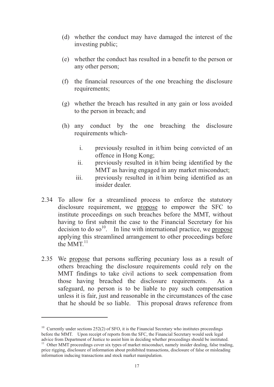- (d) whether the conduct may have damaged the interest of the investing public;
- (e) whether the conduct has resulted in a benefit to the person or any other person;
- (f) the financial resources of the one breaching the disclosure requirements;
- (g) whether the breach has resulted in any gain or loss avoided to the person in breach; and
- (h) any conduct by the one breaching the disclosure requirements which
	- i. previously resulted in it/him being convicted of an offence in Hong Kong;
	- ii. previously resulted in it/him being identified by the MMT as having engaged in any market misconduct;
	- iii. previously resulted in it/him being identified as an insider dealer.
- 2.34 To allow for a streamlined process to enforce the statutory disclosure requirement, we propose to empower the SFC to institute proceedings on such breaches before the MMT, without having to first submit the case to the Financial Secretary for his decision to do so<sup>10</sup>. In line with international practice, we propose applying this streamlined arrangement to other proceedings before the MMT $^{11}$
- 2.35 We propose that persons suffering pecuniary loss as a result of others breaching the disclosure requirements could rely on the MMT findings to take civil actions to seek compensation from those having breached the disclosure requirements. As a safeguard, no person is to be liable to pay such compensation unless it is fair, just and reasonable in the circumstances of the case that he should be so liable. This proposal draws reference from

<sup>&</sup>lt;sup>10</sup> Currently under sections 252(2) of SFO, it is the Financial Secretary who institutes proceedings before the MMT. Upon receipt of reports from the SFC, the Financial Secretary would seek legal advice from Department of Justice to assist him in deciding whether proceedings should be instituted.  $11$  Other MMT proceedings cover six types of market misconduct, namely insider dealing, false trading, price rigging, disclosure of information about prohibited transactions, disclosure of false or misleading information inducing transactions and stock market manipulation.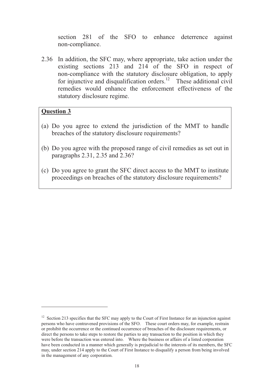section 281 of the SFO to enhance deterrence against non-compliance.

2.36 In addition, the SFC may, where appropriate, take action under the existing sections 213 and 214 of the SFO in respect of non-compliance with the statutory disclosure obligation, to apply for injunctive and disqualification orders.<sup>12</sup> These additional civil remedies would enhance the enforcement effectiveness of the statutory disclosure regime.

## **Question 3**

- (a) Do you agree to extend the jurisdiction of the MMT to handle breaches of the statutory disclosure requirements?
- (b) Do you agree with the proposed range of civil remedies as set out in paragraphs 2.31, 2.35 and 2.36?
- (c) Do you agree to grant the SFC direct access to the MMT to institute proceedings on breaches of the statutory disclosure requirements?

 $12$  Section 213 specifies that the SFC may apply to the Court of First Instance for an injunction against persons who have contravened provisions of the SFO. These court orders may, for example, restrain or prohibit the occurrence or the continued occurrence of breaches of the disclosure requirements, or direct the persons to take steps to restore the parties to any transaction to the position in which they were before the transaction was entered into. Where the business or affairs of a listed corporation have been conducted in a manner which generally is prejudicial to the interests of its members, the SFC may, under section 214 apply to the Court of First Instance to disqualify a person from being involved in the management of any corporation.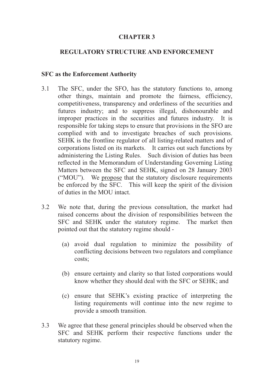## **CHAPTER 3**

## **REGULATORY STRUCTURE AND ENFORCEMENT**

#### **SFC as the Enforcement Authority**

- 3.1 The SFC, under the SFO, has the statutory functions to, among other things, maintain and promote the fairness, efficiency, competitiveness, transparency and orderliness of the securities and futures industry; and to suppress illegal, dishonourable and improper practices in the securities and futures industry. It is responsible for taking steps to ensure that provisions in the SFO are complied with and to investigate breaches of such provisions. SEHK is the frontline regulator of all listing-related matters and of corporations listed on its markets. It carries out such functions by administering the Listing Rules. Such division of duties has been reflected in the Memorandum of Understanding Governing Listing Matters between the SFC and SEHK, signed on 28 January 2003 ("MOU"). We propose that the statutory disclosure requirements be enforced by the SFC. This will keep the spirit of the division of duties in the MOU intact.
- 3.2 We note that, during the previous consultation, the market had raised concerns about the division of responsibilities between the SFC and SEHK under the statutory regime. The market then pointed out that the statutory regime should -
	- (a) avoid dual regulation to minimize the possibility of conflicting decisions between two regulators and compliance costs;
	- (b) ensure certainty and clarity so that listed corporations would know whether they should deal with the SFC or SEHK; and
	- (c) ensure that SEHK's existing practice of interpreting the listing requirements will continue into the new regime to provide a smooth transition.
- 3.3 We agree that these general principles should be observed when the SFC and SEHK perform their respective functions under the statutory regime.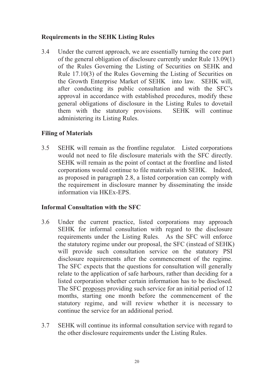## **Requirements in the SEHK Listing Rules**

3.4 Under the current approach, we are essentially turning the core part of the general obligation of disclosure currently under Rule 13.09(1) of the Rules Governing the Listing of Securities on SEHK and Rule 17.10(3) of the Rules Governing the Listing of Securities on the Growth Enterprise Market of SEHK into law. SEHK will, after conducting its public consultation and with the SFC's approval in accordance with established procedures, modify these general obligations of disclosure in the Listing Rules to dovetail them with the statutory provisions. SEHK will continue administering its Listing Rules.

## **Filing of Materials**

3.5 SEHK will remain as the frontline regulator. Listed corporations would not need to file disclosure materials with the SFC directly. SEHK will remain as the point of contact at the frontline and listed corporations would continue to file materials with SEHK. Indeed, as proposed in paragraph 2.8, a listed corporation can comply with the requirement in disclosure manner by disseminating the inside information via HKEx-EPS.

## **Informal Consultation with the SFC**

- 3.6 Under the current practice, listed corporations may approach SEHK for informal consultation with regard to the disclosure requirements under the Listing Rules. As the SFC will enforce the statutory regime under our proposal, the SFC (instead of SEHK) will provide such consultation service on the statutory PSI disclosure requirements after the commencement of the regime. The SFC expects that the questions for consultation will generally relate to the application of safe harbours, rather than deciding for a listed corporation whether certain information has to be disclosed. The SFC proposes providing such service for an initial period of 12 months, starting one month before the commencement of the statutory regime, and will review whether it is necessary to continue the service for an additional period.
- 3.7 SEHK will continue its informal consultation service with regard to the other disclosure requirements under the Listing Rules.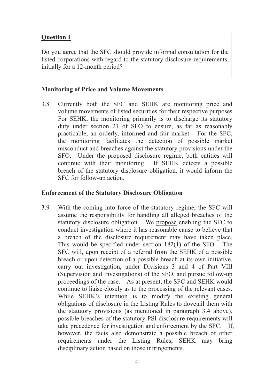## **Question 4**

Do you agree that the SFC should provide informal consultation for the listed corporations with regard to the statutory disclosure requirements, initially for a 12-month period?

## **Monitoring of Price and Volume Movements**

3.8 Currently both the SFC and SEHK are monitoring price and volume movements of listed securities for their respective purposes. For SEHK, the monitoring primarily is to discharge its statutory duty under section 21 of SFO to ensure, as far as reasonably practicable, an orderly, informed and fair market. For the SFC, the monitoring facilitates the detection of possible market misconduct and breaches against the statutory provisions under the SFO. Under the proposed disclosure regime, both entities will continue with their monitoring. If SEHK detects a possible breach of the statutory disclosure obligation, it would inform the SFC for follow-up action.

## **Enforcement of the Statutory Disclosure Obligation**

3.9 With the coming into force of the statutory regime, the SFC will assume the responsibility for handling all alleged breaches of the statutory disclosure obligation. We propose enabling the SFC to conduct investigation where it has reasonable cause to believe that a breach of the disclosure requirement may have taken place. This would be specified under section 182(1) of the SFO. The SFC will, upon receipt of a referral from the SEHK of a possible breach or upon detection of a possible breach at its own initiative, carry out investigation, under Divisions 3 and 4 of Part VIII (Supervision and Investigations) of the SFO, and pursue follow-up proceedings of the case. As at present, the SFC and SEHK would continue to liaise closely as to the processing of the relevant cases. While SEHK's intention is to modify the existing general obligations of disclosure in the Listing Rules to dovetail them with the statutory provisions (as mentioned in paragraph 3.4 above), possible breaches of the statutory PSI disclosure requirements will take precedence for investigation and enforcement by the SFC. If, however, the facts also demonstrate a possible breach of other requirements under the Listing Rules, SEHK may bring disciplinary action based on those infringements.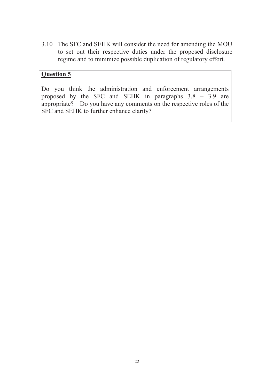3.10 The SFC and SEHK will consider the need for amending the MOU to set out their respective duties under the proposed disclosure regime and to minimize possible duplication of regulatory effort.

# **Question 5**

Do you think the administration and enforcement arrangements proposed by the SFC and SEHK in paragraphs 3.8 – 3.9 are appropriate? Do you have any comments on the respective roles of the SFC and SEHK to further enhance clarity?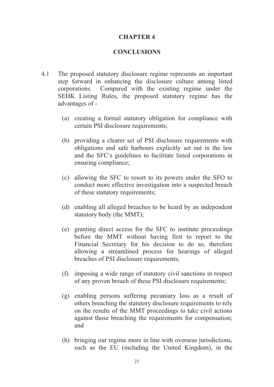## **CHAPTER 4**

#### **CONCLUSIONS**

- 4.1 The proposed statutory disclosure regime represents an important step forward in enhancing the disclosure culture among listed corporations. Compared with the existing regime under the SEHK Listing Rules, the proposed statutory regime has the advantages of -
	- (a) creating a formal statutory obligation for compliance with certain PSI disclosure requirements;
	- (b) providing a clearer set of PSI disclosure requirements with obligations and safe harbours explicitly set out in the law and the SFC's guidelines to facilitate listed corporations in ensuring compliance;
	- (c) allowing the SFC to resort to its powers under the SFO to conduct more effective investigation into a suspected breach of these statutory requirements;
	- (d) enabling all alleged breaches to be heard by an independent statutory body (the MMT);
	- (e) granting direct access for the SFC to institute proceedings before the MMT without having first to report to the Financial Secretary for his decision to do so, therefore allowing a streamlined process for hearings of alleged breaches of PSI disclosure requirements;
	- (f) imposing a wide range of statutory civil sanctions in respect of any proven breach of these PSI disclosure requirements;
	- (g) enabling persons suffering pecuniary loss as a result of others breaching the statutory disclosure requirements to rely on the results of the MMT proceedings to take civil actions against those breaching the requirements for compensation; and
	- (h) bringing our regime more in line with overseas jurisdictions, such as the EU (including the United Kingdom), in the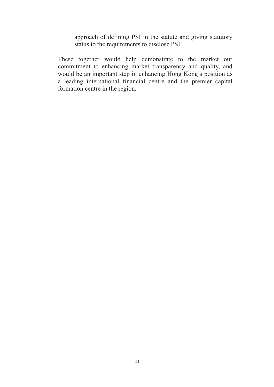approach of defining PSI in the statute and giving statutory status to the requirements to disclose PSI.

 These together would help demonstrate to the market our commitment to enhancing market transparency and quality, and would be an important step in enhancing Hong Kong's position as a leading international financial centre and the premier capital formation centre in the region.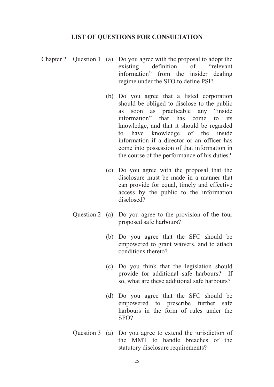#### **LIST OF QUESTIONS FOR CONSULTATION**

- Chapter 2 Question 1 (a) Do you agree with the proposal to adopt the existing definition of "relevant information" from the insider dealing regime under the SFO to define PSI?
	- (b) Do you agree that a listed corporation should be obliged to disclose to the public as soon as practicable any "inside information" that has come to its knowledge, and that it should be regarded to have knowledge of the inside information if a director or an officer has come into possession of that information in the course of the performance of his duties?
	- (c) Do you agree with the proposal that the disclosure must be made in a manner that can provide for equal, timely and effective access by the public to the information disclosed?
	- Question 2 (a) Do you agree to the provision of the four proposed safe harbours?
		- (b) Do you agree that the SFC should be empowered to grant waivers, and to attach conditions thereto?
		- (c) Do you think that the legislation should provide for additional safe harbours? If so, what are these additional safe harbours?
		- (d) Do you agree that the SFC should be empowered to prescribe further safe harbours in the form of rules under the SFO?
	- Question 3 (a) Do you agree to extend the jurisdiction of the MMT to handle breaches of the statutory disclosure requirements?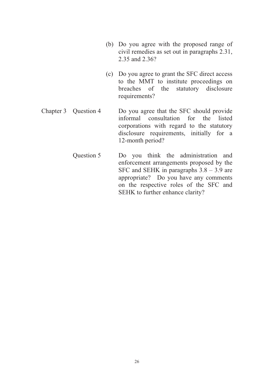- (b) Do you agree with the proposed range of civil remedies as set out in paragraphs 2.31, 2.35 and 2.36?
- (c) Do you agree to grant the SFC direct access to the MMT to institute proceedings on breaches of the statutory disclosure requirements?
- Chapter 3 Question 4 Do you agree that the SFC should provide informal consultation for the listed corporations with regard to the statutory disclosure requirements, initially for a 12-month period?
	- Question 5 Do you think the administration and enforcement arrangements proposed by the SFC and SEHK in paragraphs 3.8 – 3.9 are appropriate? Do you have any comments on the respective roles of the SFC and SEHK to further enhance clarity?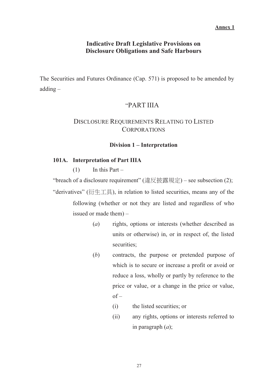#### **Annex 1**

### **Indicative Draft Legislative Provisions on Disclosure Obligations and Safe Harbours**

The Securities and Futures Ordinance (Cap. 571) is proposed to be amended by adding –

## "PART IIIA

## DISCLOSURE REQUIREMENTS RELATING TO LISTED **CORPORATIONS**

#### **Division 1 – Interpretation**

#### **101A. Interpretation of Part IIIA**

 $(1)$  In this Part –

"breach of a disclosure requirement" (違反披露規定) – see subsection (2); "derivatives" ( $\hat{m} \pm \hat{m}$ ), in relation to listed securities, means any of the

> following (whether or not they are listed and regardless of who issued or made them) –

- (*a*) rights, options or interests (whether described as units or otherwise) in, or in respect of, the listed securities:
- (*b*) contracts, the purpose or pretended purpose of which is to secure or increase a profit or avoid or reduce a loss, wholly or partly by reference to the price or value, or a change in the price or value,  $of -$ 
	- (i) the listed securities; or
	- (ii) any rights, options or interests referred to in paragraph (*a*);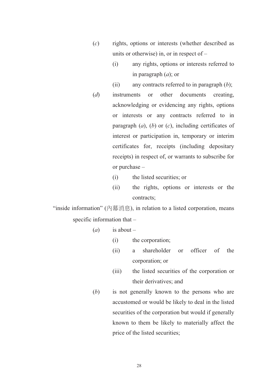- (*c*) rights, options or interests (whether described as units or otherwise) in, or in respect of –
	- (i) any rights, options or interests referred to in paragraph (*a*); or
	- (ii) any contracts referred to in paragraph (*b*);
- (*d*) instruments or other documents creating, acknowledging or evidencing any rights, options or interests or any contracts referred to in paragraph (*a*), (*b*) or (*c*), including certificates of interest or participation in, temporary or interim certificates for, receipts (including depositary receipts) in respect of, or warrants to subscribe for or purchase –
	- (i) the listed securities; or
	- (ii) the rights, options or interests or the contracts;

"inside information" (內幕消息), in relation to a listed corporation, means specific information that –

- $(a)$  is about
	- (i) the corporation;
	- (ii) a shareholder or officer of the corporation; or
	- (iii) the listed securities of the corporation or their derivatives; and
- (*b*) is not generally known to the persons who are accustomed or would be likely to deal in the listed securities of the corporation but would if generally known to them be likely to materially affect the price of the listed securities;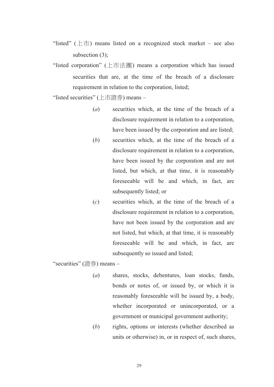- "listed" ( $\pm \overline{\pi}$ ) means listed on a recognized stock market see also subsection (3);
- "listed corporation" (ᾙ⾑㹤⢧) means a corporation which has issued securities that are, at the time of the breach of a disclosure requirement in relation to the corporation, listed;

"listed securities" (上市證券) means –

- (*a*) securities which, at the time of the breach of a disclosure requirement in relation to a corporation, have been issued by the corporation and are listed;
- (*b*) securities which, at the time of the breach of a disclosure requirement in relation to a corporation, have been issued by the corporation and are not listed, but which, at that time, it is reasonably foreseeable will be and which, in fact, are subsequently listed; or
- (*c*) securities which, at the time of the breach of a disclosure requirement in relation to a corporation, have not been issued by the corporation and are not listed, but which, at that time, it is reasonably foreseeable will be and which, in fact, are subsequently so issued and listed;

"securities" (證券) means -

- (*a*) shares, stocks, debentures, loan stocks, funds, bonds or notes of, or issued by, or which it is reasonably foreseeable will be issued by, a body, whether incorporated or unincorporated, or a government or municipal government authority;
- (*b*) rights, options or interests (whether described as units or otherwise) in, or in respect of, such shares,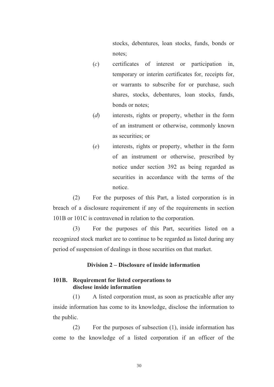stocks, debentures, loan stocks, funds, bonds or notes;

- (*c*) certificates of interest or participation in, temporary or interim certificates for, receipts for, or warrants to subscribe for or purchase, such shares, stocks, debentures, loan stocks, funds, bonds or notes;
- (*d*) interests, rights or property, whether in the form of an instrument or otherwise, commonly known as securities; or
- (*e*) interests, rights or property, whether in the form of an instrument or otherwise, prescribed by notice under section 392 as being regarded as securities in accordance with the terms of the notice.

(2) For the purposes of this Part, a listed corporation is in breach of a disclosure requirement if any of the requirements in section 101B or 101C is contravened in relation to the corporation.

(3) For the purposes of this Part, securities listed on a recognized stock market are to continue to be regarded as listed during any period of suspension of dealings in those securities on that market.

#### **Division 2 – Disclosure of inside information**

#### **101B. Requirement for listed corporations to disclose inside information**

(1) A listed corporation must, as soon as practicable after any inside information has come to its knowledge, disclose the information to the public.

(2) For the purposes of subsection (1), inside information has come to the knowledge of a listed corporation if an officer of the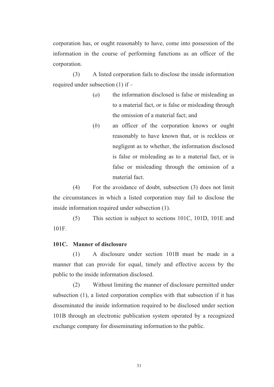corporation has, or ought reasonably to have, come into possession of the information in the course of performing functions as an officer of the corporation.

(3) A listed corporation fails to disclose the inside information required under subsection (1) if –

- (*a*) the information disclosed is false or misleading as to a material fact, or is false or misleading through the omission of a material fact; and
- (*b*) an officer of the corporation knows or ought reasonably to have known that, or is reckless or negligent as to whether, the information disclosed is false or misleading as to a material fact, or is false or misleading through the omission of a material fact.

(4) For the avoidance of doubt, subsection (3) does not limit the circumstances in which a listed corporation may fail to disclose the inside information required under subsection (1).

(5) This section is subject to sections 101C, 101D, 101E and 101F.

#### **101C. Manner of disclosure**

(1) A disclosure under section 101B must be made in a manner that can provide for equal, timely and effective access by the public to the inside information disclosed.

(2) Without limiting the manner of disclosure permitted under subsection (1), a listed corporation complies with that subsection if it has disseminated the inside information required to be disclosed under section 101B through an electronic publication system operated by a recognized exchange company for disseminating information to the public.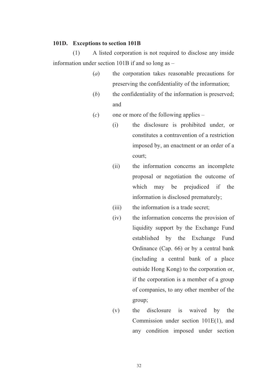#### **101D. Exceptions to section 101B**

(1) A listed corporation is not required to disclose any inside information under section 101B if and so long as –

- (*a*) the corporation takes reasonable precautions for preserving the confidentiality of the information;
- (*b*) the confidentiality of the information is preserved; and
- (*c*) one or more of the following applies
	- (i) the disclosure is prohibited under, or constitutes a contravention of a restriction imposed by, an enactment or an order of a court;
	- (ii) the information concerns an incomplete proposal or negotiation the outcome of which may be prejudiced if the information is disclosed prematurely;
	- (iii) the information is a trade secret;
	- (iv) the information concerns the provision of liquidity support by the Exchange Fund established by the Exchange Fund Ordinance (Cap. 66) or by a central bank (including a central bank of a place outside Hong Kong) to the corporation or, if the corporation is a member of a group of companies, to any other member of the group;
	- (v) the disclosure is waived by the Commission under section 101E(1), and any condition imposed under section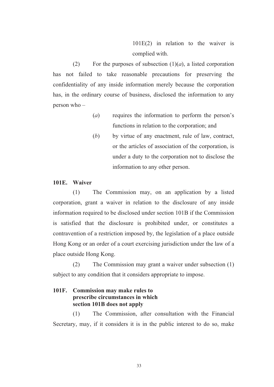101E(2) in relation to the waiver is complied with.

(2) For the purposes of subsection  $(1)(a)$ , a listed corporation has not failed to take reasonable precautions for preserving the confidentiality of any inside information merely because the corporation has, in the ordinary course of business, disclosed the information to any person who –

- (*a*) requires the information to perform the person's functions in relation to the corporation; and
- (*b*) by virtue of any enactment, rule of law, contract, or the articles of association of the corporation, is under a duty to the corporation not to disclose the information to any other person.

#### **101E. Waiver**

(1) The Commission may, on an application by a listed corporation, grant a waiver in relation to the disclosure of any inside information required to be disclosed under section 101B if the Commission is satisfied that the disclosure is prohibited under, or constitutes a contravention of a restriction imposed by, the legislation of a place outside Hong Kong or an order of a court exercising jurisdiction under the law of a place outside Hong Kong.

(2) The Commission may grant a waiver under subsection (1) subject to any condition that it considers appropriate to impose.

## **101F. Commission may make rules to prescribe circumstances in which section 101B does not apply**

(1) The Commission, after consultation with the Financial Secretary, may, if it considers it is in the public interest to do so, make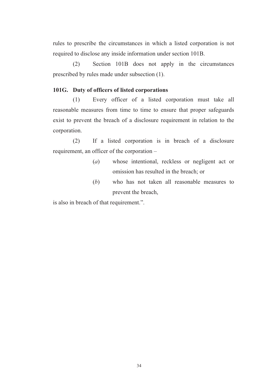rules to prescribe the circumstances in which a listed corporation is not required to disclose any inside information under section 101B.

(2) Section 101B does not apply in the circumstances prescribed by rules made under subsection (1).

#### **101G. Duty of officers of listed corporations**

(1) Every officer of a listed corporation must take all reasonable measures from time to time to ensure that proper safeguards exist to prevent the breach of a disclosure requirement in relation to the corporation.

(2) If a listed corporation is in breach of a disclosure requirement, an officer of the corporation –

- (*a*) whose intentional, reckless or negligent act or omission has resulted in the breach; or
- (*b*) who has not taken all reasonable measures to prevent the breach,

is also in breach of that requirement.".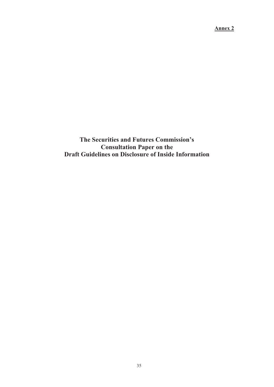**Annex 2**

**The Securities and Futures Commission's Consultation Paper on the Draft Guidelines on Disclosure of Inside Information**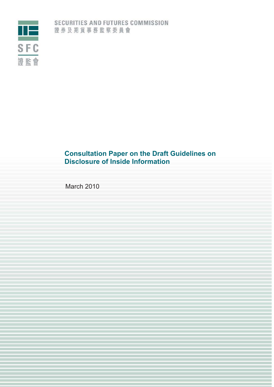

# **Consultation Paper on the Draft Guidelines on Disclosure of Inside Information**

March 2010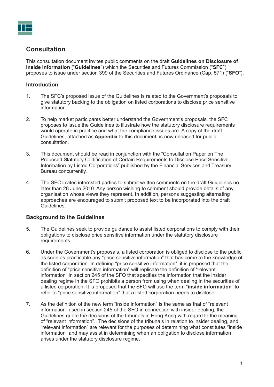

# **Consultation**

This consultation document invites public comments on the draft **Guidelines on Disclosure of Inside Information** ("**Guidelines**") which the Securities and Futures Commission ("**SFC**") proposes to issue under section 399 of the Securities and Futures Ordinance (Cap. 571) ("**SFO**").

## **Introduction**

- 1. The SFC's proposed issue of the Guidelines is related to the Government's proposals to give statutory backing to the obligation on listed corporations to disclose price sensitive information.
- 2. To help market participants better understand the Government's proposals, the SFC proposes to issue the Guidelines to illustrate how the statutory disclosure requirements would operate in practice and what the compliance issues are. A copy of the draft Guidelines, attached as **Appendix** to this document, is now released for public consultation.
- 3. This document should be read in conjunction with the "Consultation Paper on The Proposed Statutory Codification of Certain Requirements to Disclose Price Sensitive Information by Listed Corporations" published by the Financial Services and Treasury Bureau concurrently.
- 4. The SFC invites interested parties to submit written comments on the draft Guidelines no later than 28 June 2010. Any person wishing to comment should provide details of any organisation whose views they represent. In addition, persons suggesting alternating approaches are encouraged to submit proposed text to be incorporated into the draft Guidelines.

## **Background to the Guidelines**

- 5. The Guidelines seek to provide guidance to assist listed corporations to comply with their obligations to disclose price sensitive information under the statutory disclosure requirements.
- 6. Under the Government's proposals, a listed corporation is obliged to disclose to the public as soon as practicable any "price sensitive information" that has come to the knowledge of the listed corporation. In defining "price sensitive information", it is proposed that the definition of "price sensitive information" will replicate the definition of "relevant information" in section 245 of the SFO that specifies the information that the insider dealing regime in the SFO prohibits a person from using when dealing in the securities of a listed corporation. It is proposed that the SFO will use the term "**inside information**" to refer to "price sensitive information" that a listed corporation needs to disclose.
- 7. As the definition of the new term "inside information" is the same as that of "relevant information" used in section 245 of the SFO in connection with insider dealing, the Guidelines quote the decisions of the tribunals in Hong Kong with regard to the meaning of "relevant information". The decisions of the tribunals in relation to insider dealing, and "relevant information" are relevant for the purposes of determining what constitutes "inside information" and may assist in determining when an obligation to disclose information arises under the statutory disclosure regime.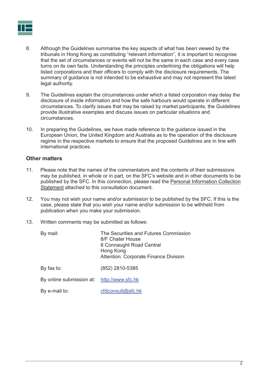

- 8. Although the Guidelines summarise the key aspects of what has been viewed by the tribunals in Hong Kong as constituting "relevant information", it is important to recognise that the set of circumstances or events will not be the same in each case and every case turns on its own facts. Understanding the principles underlining the obligations will help listed corporations and their officers to comply with the disclosure requirements. The summary of guidance is not intended to be exhaustive and may not represent the latest legal authority.
- 9. The Guidelines explain the circumstances under which a listed corporation may delay the disclosure of inside information and how the safe harbours would operate in different circumstances. To clarify issues that may be raised by market participants, the Guidelines provide illustrative examples and discuss issues on particular situations and circumstances.
- 10. In preparing the Guidelines, we have made reference to the guidance issued in the European Union, the United Kingdom and Australia as to the operation of the disclosure regime in the respective markets to ensure that the proposed Guidelines are in line with international practices.

#### **Other matters**

- 11. Please note that the names of the commentators and the contents of their submissions may be published, in whole or in part, on the SFC's website and in other documents to be published by the SFC. In this connection, please read the Personal Information Collection Statement attached to this consultation document.
- 12. You may not wish your name and/or submission to be published by the SFC. If this is the case, please state that you wish your name and/or submission to be withheld from publication when you make your submission.
- 13. Written comments may be submitted as follows:

| By mail:                 | The Securities and Futures Commission<br>8/F Chater House<br>8 Connaught Road Central<br>Hong Kong<br><b>Attention: Corporate Finance Division</b> |
|--------------------------|----------------------------------------------------------------------------------------------------------------------------------------------------|
| By fax to:               | (852) 2810-5385                                                                                                                                    |
| By online submission at: | http://www.sfc.hk                                                                                                                                  |
| By e-mail to:            | cfdconsult@sfc.hk                                                                                                                                  |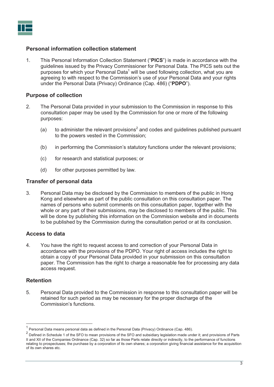#### **Personal information collection statement**

1. This Personal Information Collection Statement ("**PICS**") is made in accordance with the guidelines issued by the Privacy Commissioner for Personal Data. The PICS sets out the purposes for which your Personal Data<sup>1</sup> will be used following collection, what you are agreeing to with respect to the Commission's use of your Personal Data and your rights under the Personal Data (Privacy) Ordinance (Cap. 486) ("**PDPO**").

#### **Purpose of collection**

- 2. The Personal Data provided in your submission to the Commission in response to this consultation paper may be used by the Commission for one or more of the following purposes:
	- (a) to administer the relevant provisions<sup>2</sup> and codes and guidelines published pursuant to the powers vested in the Commission;
	- (b) in performing the Commission's statutory functions under the relevant provisions;
	- (c) for research and statistical purposes; or
	- (d) for other purposes permitted by law.

#### **Transfer of personal data**

3. Personal Data may be disclosed by the Commission to members of the public in Hong Kong and elsewhere as part of the public consultation on this consultation paper. The names of persons who submit comments on this consultation paper, together with the whole or any part of their submissions, may be disclosed to members of the public. This will be done by publishing this information on the Commission website and in documents to be published by the Commission during the consultation period or at its conclusion.

#### **Access to data**

4. You have the right to request access to and correction of your Personal Data in accordance with the provisions of the PDPO. Your right of access includes the right to obtain a copy of your Personal Data provided in your submission on this consultation paper. The Commission has the right to charge a reasonable fee for processing any data access request.

#### **Retention**

 $\overline{a}$ 

5. Personal Data provided to the Commission in response to this consultation paper will be retained for such period as may be necessary for the proper discharge of the Commission's functions.

<sup>&</sup>lt;sup>1</sup> Personal Data means personal data as defined in the Personal Data (Privacy) Ordinance (Cap. 486).

 $^2$  Defined in Schedule 1 of the SFO to mean provisions of the SFO and subsidiary legislation made under it; and provisions of Parts II and XII of the Companies Ordinance (Cap. 32) so far as those Parts relate directly or indirectly, to the performance of functions relating to prospectuses; the purchase by a corporation of its own shares; a corporation giving financial assistance for the acquisition of its own shares etc.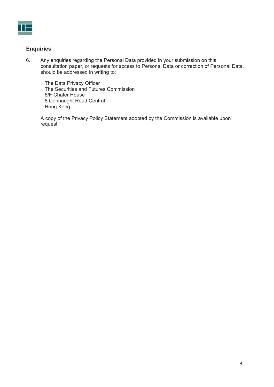

## **Enquiries**

6. Any enquiries regarding the Personal Data provided in your submission on this consultation paper, or requests for access to Personal Data or correction of Personal Data, should be addressed in writing to:

The Data Privacy Officer The Securities and Futures Commission 8/F Chater House 8 Connaught Road Central Hong Kong

A copy of the Privacy Policy Statement adopted by the Commission is available upon request.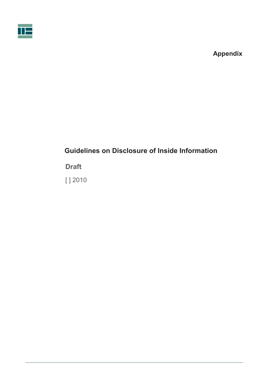



# **Guidelines on Disclosure of Inside Information**

**Draft** 

[ ] 2010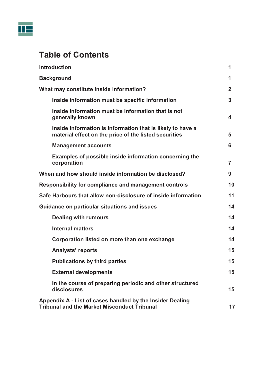

# **Table of Contents**

| <b>Introduction</b>                                                                                                 | 1              |
|---------------------------------------------------------------------------------------------------------------------|----------------|
| <b>Background</b>                                                                                                   | 1              |
| What may constitute inside information?                                                                             |                |
| Inside information must be specific information                                                                     | 3              |
| Inside information must be information that is not<br>generally known                                               | 4              |
| Inside information is information that is likely to have a<br>material effect on the price of the listed securities | 5              |
| <b>Management accounts</b>                                                                                          | 6              |
| Examples of possible inside information concerning the<br>corporation                                               | $\overline{7}$ |
| When and how should inside information be disclosed?                                                                | 9              |
| <b>Responsibility for compliance and management controls</b>                                                        |                |
| Safe Harbours that allow non-disclosure of inside information                                                       |                |
| Guidance on particular situations and issues                                                                        |                |
| <b>Dealing with rumours</b>                                                                                         | 14             |
| <b>Internal matters</b>                                                                                             | 14             |
| Corporation listed on more than one exchange                                                                        | 14             |
| <b>Analysts' reports</b>                                                                                            | 15             |
| <b>Publications by third parties</b>                                                                                | 15             |
| <b>External developments</b>                                                                                        | 15             |
| In the course of preparing periodic and other structured<br>disclosures                                             | 15             |
| Appendix A - List of cases handled by the Insider Dealing<br><b>Tribunal and the Market Misconduct Tribunal</b>     | 17             |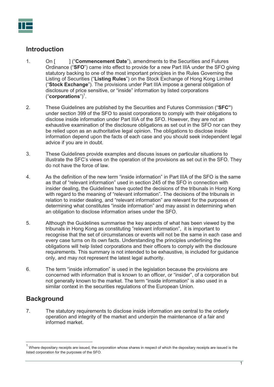# **Introduction**

- 1. On [ ] ("**Commencement Date**"), amendments to the Securities and Futures Ordinance ("**SFO**") came into effect to provide for a new Part IIIA under the SFO giving statutory backing to one of the most important principles in the Rules Governing the Listing of Securities ("**Listing Rules**") on the Stock Exchange of Hong Kong Limited ("**Stock Exchange**"). The provisions under Part IIIA impose a general obligation of disclosure of price sensitive, or "inside" information by listed corporations ("**corporations**")<sup>1</sup> .
- 2. These Guidelines are published by the Securities and Futures Commission ("**SFC"**) under section 399 of the SFO to assist corporations to comply with their obligations to disclose inside information under Part IIIA of the SFO. However, they are not an exhaustive examination of the disclosure obligations as set out in the SFO nor can they be relied upon as an authoritative legal opinion. The obligations to disclose inside information depend upon the facts of each case and you should seek independent legal advice if you are in doubt.
- 3. These Guidelines provide examples and discuss issues on particular situations to illustrate the SFC's views on the operation of the provisions as set out in the SFO. They do not have the force of law.
- 4. As the definition of the new term "inside information" in Part IIIA of the SFO is the same as that of "relevant information" used in section 245 of the SFO in connection with insider dealing, the Guidelines have quoted the decisions of the tribunals in Hong Kong with regard to the meaning of "relevant information". The decisions of the tribunals in relation to insider dealing, and "relevant information" are relevant for the purposes of determining what constitutes "inside information" and may assist in determining when an obligation to disclose information arises under the SFO.
- 5. Although the Guidelines summarise the key aspects of what has been viewed by the tribunals in Hong Kong as constituting "relevant information", it is important to recognise that the set of circumstances or events will not be the same in each case and every case turns on its own facts. Understanding the principles underlining the obligations will help listed corporations and their officers to comply with the disclosure requirements. This summary is not intended to be exhaustive, is included for guidance only, and may not represent the latest legal authority.
- 6. The term "inside information" is used in the legislation because the provisions are concerned with information that is known to an officer, or "insider", of a corporation but not generally known to the market. The term "inside information" is also used in a similar context in the securities regulations of the European Union.

# **Background**

 $\overline{a}$ 

7. The statutory requirements to disclose inside information are central to the orderly operation and integrity of the market and underpin the maintenance of a fair and informed market.

 $^1$  Where depositary receipts are issued, the corporation whose shares in respect of which the depositary receipts are issued is the listed corporation for the purposes of the SFO.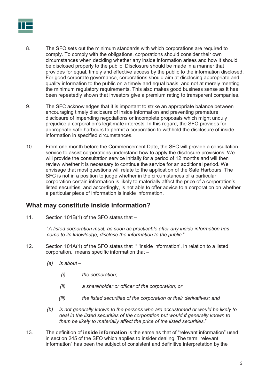

- 8. The SFO sets out the minimum standards with which corporations are required to comply. To comply with the obligations, corporations should consider their own circumstances when deciding whether any inside information arises and how it should be disclosed properly to the public. Disclosure should be made in a manner that provides for equal, timely and effective access by the public to the information disclosed. For good corporate governance, corporations should aim at disclosing appropriate and quality information to the public on a timely and equal basis, and not at merely meeting the minimum regulatory requirements. This also makes good business sense as it has been repeatedly shown that investors give a premium rating to transparent companies.
- 9. The SFC acknowledges that it is important to strike an appropriate balance between encouraging timely disclosure of inside information and preventing premature disclosure of impending negotiations or incomplete proposals which might unduly prejudice a corporation's legitimate interests. In this regard, the SFO provides for appropriate safe harbours to permit a corporation to withhold the disclosure of inside information in specified circumstances.
- 10. From one month before the Commencement Date, the SFC will provide a consultation service to assist corporations understand how to apply the disclosure provisions. We will provide the consultation service initially for a period of 12 months and will then review whether it is necessary to continue the service for an additional period. We envisage that most questions will relate to the application of the Safe Harbours. The SFC is not in a position to judge whether in the circumstances of a particular corporation certain information is likely to materially affect the price of a corporation's listed securities, and accordingly, is not able to offer advice to a corporation on whether a particular piece of information is inside information.

# **What may constitute inside information?**

11. Section 101B(1) of the SFO states that –

"*A listed corporation must, as soon as practicable after any inside information has come to its knowledge, disclose the information to the public*."

- 12. Section 101A(1) of the SFO states that " 'inside information', in relation to a listed corporation, means specific information that –
	- *(a) is about –*
		- *(i) the corporation;*
		- *(ii) a shareholder or officer of the corporation; or*
		- *(iii) the listed securities of the corporation or their derivatives; and*
	- *(b) is not generally known to the persons who are accustomed or would be likely to deal in the listed securities of the corporation but would if generally known to them be likely to materially affect the price of the listed securities.*"
- 13. The definition of **inside information** is the same as that of "relevant information" used in section 245 of the SFO which applies to insider dealing. The term "relevant information" has been the subject of consistent and definitive interpretation by the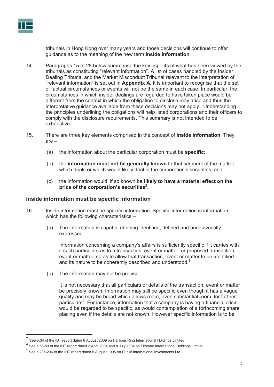

tribunals in Hong Kong over many years and those decisions will continue to offer guidance as to the meaning of the new term **inside information**.

- 14. Paragraphs 15 to 28 below summarise the key aspects of what has been viewed by the tribunals as constituting "relevant information". A list of cases handled by the Insider Dealing Tribunal and the Market Misconduct Tribunal relevant to the interpretation of "relevant information" is set out in **Appendix A**. It is important to recognise that the set of factual circumstances or events will not be the same in each case. In particular, the circumstances in which insider dealings are regarded to have taken place would be different from the context in which the obligation to disclose may arise and thus the interpretative guidance available from these decisions may not apply. Understanding the principles underlining the obligations will help listed corporations and their officers to comply with the disclosure requirements. This summary is not intended to be exhaustive.
- 15. There are three key elements comprised in the concept of **inside information**. They are –
	- (a) the information about the particular corporation must be **specific**;
	- (b) the **information must not be generally known** to that segment of the market which deals or which would likely deal in the corporation's securities; and
	- (c) the information would, if so known be **likely to have a material effect on the**  price of the corporation's securities<sup>2</sup>.

#### **Inside information must be specific information**

- 16. Inside information must be specific information. Specific information is information which has the following characteristics -
	- (a) The information is capable of being identified, defined and unequivocally expressed.

Information concerning a company's affairs is sufficiently specific if it carries with it such particulars as to a transaction, event or matter, or proposed transaction, event or matter, so as to allow that transaction, event or matter to be identified and its nature to be coherently described and understood. $3$ 

(b) The information may not be precise.

It is not necessary that all particulars or details of the transaction, event or matter be precisely known. Information may still be specific even though it has a vague quality and may be broad which allows room, even substantial room, for further particulars<sup>4</sup>. For instance, information that a company is having a financial crisis would be regarded to be specific, as would contemplation of a forthcoming share placing even if the details are not known. However specific information is to be

<sup>&</sup>lt;sup>2</sup> See p.34 of the IDT report dated 6 August 2009 on Harbour Ring International Holdings Limited

 $^3$  See p.58-59 of the IDT report dated 2 April 2004 and 8 July 2004 on Firstone International Holdings Limited

 $^4$  See p.235-236 of the IDT report dated 5 August 1995 on Public International Investments Ltd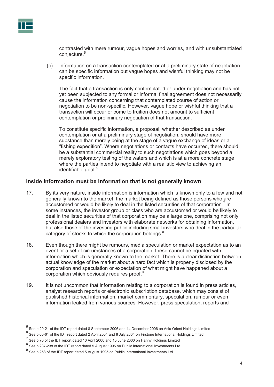

contrasted with mere rumour, vague hopes and worries, and with unsubstantiated conjecture.<sup>5</sup>

(c) Information on a transaction contemplated or at a preliminary state of negotiation can be specific information but vague hopes and wishful thinking may not be specific information.

The fact that a transaction is only contemplated or under negotiation and has not yet been subjected to any formal or informal final agreement does not necessarily cause the information concerning that contemplated course of action or negotiation to be non-specific. However, vague hope or wishful thinking that a transaction will occur or come to fruition does not amount to sufficient contemplation or preliminary negotiation of that transaction.

To constitute specific information, a proposal, whether described as under contemplation or at a preliminary stage of negotiation, should have more substance than merely being at the stage of a vague exchange of ideas or a "fishing expedition". Where negotiations or contacts have occurred, there should be a substantial commercial reality to such negotiations which goes beyond a merely exploratory testing of the waters and which is at a more concrete stage where the parties intend to negotiate with a realistic view to achieving an identifiable goal.<sup>6</sup>

#### **Inside information must be information that is not generally known**

- 17. By its very nature, inside information is information which is known only to a few and not generally known to the market, the market being defined as those persons who are accustomed or would be likely to deal in the listed securities of that corporation.<sup>7</sup> In some instances, the investor group or class who are accustomed or would be likely to deal in the listed securities of that corporation may be a large one, comprising not only professional dealers and investors with elaborate networks for obtaining information, but also those of the investing public including small investors who deal in the particular category of stocks to which the corporation belongs.<sup>8</sup>
- 18. Even though there might be rumours, media speculation or market expectation as to an event or a set of circumstances of a corporation, these cannot be equated with information which is generally known to the market. There is a clear distinction between actual knowledge of the market about a hard fact which is properly disclosed by the corporation and speculation or expectation of what might have happened about a corporation which obviously requires proof.<sup>9</sup>
- 19. It is not uncommon that information relating to a corporation is found in press articles, analyst research reports or electronic subscription database, which may consist of published historical information, market commentary, speculation, rumour or even information leaked from various sources. However, press speculation, reports and

<sup>&</sup>lt;sup>5</sup> See p.20-21 of the IDT report dated 8 September 2006 and 14 December 2006 on Asia Orient Holdings Limited

 $^6$  See p.60-61 of the IDT report dated 2 April 2004 and 8 July 2004 on Firstone International Holdings Limited

 $^7$  See p.70 of the IDT report dated 10 April 2000 and 15 June 2000 on Hanny Holdings Limited

 $^8$  See p.237-238 of the IDT report dated 5 August 1995 on Public International Investments Ltd

 $^9$  See p.258 of the IDT report dated 5 August 1995 on Public International Investments Ltd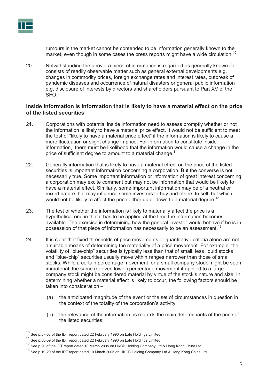

rumours in the market cannot be contended to be information generally known to the market, even though in some cases the press reports might have a wide circulation.<sup>10</sup>

20. Notwithstanding the above, a piece of information is regarded as generally known if it consists of readily observable matter such as general external developments e.g. changes in commodity prices, foreign exchange rates and interest rates, outbreak of pandemic diseases and occurrence of natural disasters or general public information e.g. disclosure of interests by directors and shareholders pursuant to Part XV of the SFO.

#### **Inside information is information that is likely to have a material effect on the price of the listed securities**

- 21. Corporations with potential inside information need to assess promptly whether or not the information is likely to have a material price effect. It would not be sufficient to meet the test of "likely to have a material price effect" if the information is likely to cause a mere fluctuation or slight change in price. For information to constitute inside information, there must be likelihood that the information would cause a change in the price of sufficient degree to amount to a material change.<sup>11</sup>
- 22. Generally information that is likely to have a material effect on the price of the listed securities is important information concerning a corporation. But the converse is not necessarily true. Some important information or information of great interest concerning a corporation may excite comment but may not be information that would be likely to have a material effect. Similarly, some important information may be of a neutral or mixed nature that may influence some investors to buy and others to sell, but which would not be likely to affect the price either up or down to a material degree.<sup>12</sup>
- 23. The test of whether the information is likely to materially affect the price is a hypothetical one in that it has to be applied at the time the information becomes available. The exercise in determining how the general investor would behave if he is in possession of that piece of information has necessarily to be an assessment.<sup>13</sup>
- 24. It is clear that fixed thresholds of price movements or quantitative criteria alone are not a suitable means of determining the materiality of a price movement. For example, the volatility of "blue-chip" securities is typically less than that of small, less liquid stocks and "blue-chip" securities usually move within ranges narrower than those of small stocks. While a certain percentage movement for a small company stock might be seen immaterial, the same (or even lower) percentage movement if applied to a large company stock might be considered material by virtue of the stock's nature and size. In determining whether a material effect is likely to occur, the following factors should be taken into consideration –
	- (a) the anticipated magnitude of the event or the set of circumstances in question in the context of the totality of the corporation's activity;
	- (b) the relevance of the information as regards the main determinants of the price of the listed securities;

<sup>10</sup> See p.57-58 of the IDT report dated 22 February 1990 on Lafe Holdings Limited

<sup>11</sup> See p.58-59 of the IDT report dated 22 February 1990 on Lafe Holdings Limited

<sup>&</sup>lt;sup>12</sup> See p.20 of the IDT report dated 10 March 2005 on HKCB Holding Company Ltd & Hong Kong China Ltd

<sup>&</sup>lt;sup>13</sup> See p.19-20 of the IDT report dated 10 March 2005 on HKCB Holding Company Ltd & Hong Kong China Ltd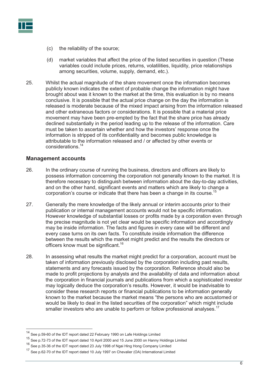

- (c) the reliability of the source;
- (d) market variables that affect the price of the listed securities in question (These variables could include prices, returns, volatilities, liquidity, price relationships among securities, volume, supply, demand, etc.).
- 25. Whilst the actual magnitude of the share movement once the information becomes publicly known indicates the extent of probable change the information might have brought about was it known to the market at the time, this evaluation is by no means conclusive. It is possible that the actual price change on the day the information is released is moderate because of the mixed impact arising from the information released and other extraneous factors or considerations. It is possible that a material price movement may have been pre-empted by the fact that the share price has already declined substantially in the period leading up to the release of the information. Care must be taken to ascertain whether and how the investors' response once the information is stripped of its confidentiality and becomes public knowledge is attributable to the information released and / or affected by other events or considerations.14

#### **Management accounts**

- 26. In the ordinary course of running the business, directors and officers are likely to possess information concerning the corporation not generally known to the market. It is therefore necessary to distinguish between information about the day-to-day activities, and on the other hand, significant events and matters which are likely to change a corporation's course or indicate that there has been a change in its course.<sup>15</sup>
- 27. Generally the mere knowledge of the likely annual or interim accounts prior to their publication or internal management accounts would not be specific information. However knowledge of substantial losses or profits made by a corporation even through the precise magnitude is not yet clear would be specific information and accordingly may be inside information. The facts and figures in every case will be different and every case turns on its own facts. To constitute inside information the difference between the results which the market might predict and the results the directors or officers know must be significant.<sup>16</sup>
- 28. In assessing what results the market might predict for a corporation, account must be taken of information previously disclosed by the corporation including past results, statements and any forecasts issued by the corporation. Reference should also be made to profit projections by analysts and the availability of data and information about the corporation in financial journals and publications from which a sophisticated investor may logically deduce the corporation's results. However, it would be inadvisable to consider these research reports or financial publications to be information generally known to the market because the market means "the persons who are accustomed or would be likely to deal in the listed securities of the corporation" which might include smaller investors who are unable to perform or follow professional analyses.<sup>17</sup>

<sup>14</sup> See p.59-60 of the IDT report dated 22 February 1990 on Lafe Holdings Limited

<sup>15</sup> See p.72-73 of the IDT report dated 10 April 2000 and 15 June 2000 on Hanny Holdings Limited

<sup>16</sup> See p.35-36 of the IDT report dated 23 July 1998 of Ngai Hing Hong Company Limited

<sup>&</sup>lt;sup>17</sup> See p.62-70 of the IDT report dated 10 July 1997 on Chevalier (OA) International Limited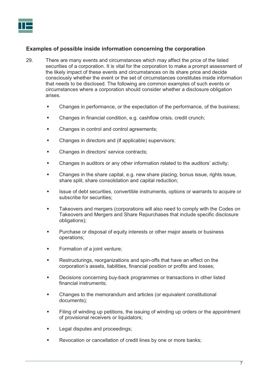

#### **Examples of possible inside information concerning the corporation**

- 29. There are many events and circumstances which may affect the price of the listed securities of a corporation. It is vital for the corporation to make a prompt assessment of the likely impact of these events and circumstances on its share price and decide consciously whether the event or the set of circumstances constitutes inside information that needs to be disclosed. The following are common examples of such events or circumstances where a corporation should consider whether a disclosure obligation arises.
	- -Changes in performance, or the expectation of the performance, of the business;
	- -Changes in financial condition, e.g. cashflow crisis, credit crunch;
	- -Changes in control and control agreements;
	- -Changes in directors and (if applicable) supervisors;
	- -Changes in directors' service contracts;
	- -Changes in auditors or any other information related to the auditors' activity;
	- - Changes in the share capital, e.g. new share placing, bonus issue, rights issue, share split, share consolidation and capital reduction;
	- - Issue of debt securities, convertible instruments, options or warrants to acquire or subscribe for securities;
	- - Takeovers and mergers (corporations will also need to comply with the Codes on Takeovers and Mergers and Share Repurchases that include specific disclosure obligations);
	- - Purchase or disposal of equity interests or other major assets or business operations;
	- -Formation of a joint venture;
	- -Restructurings, reorganizations and spin-offs that have an effect on the corporation's assets, liabilities, financial position or profits and losses;
	- - Decisions concerning buy-back programmes or transactions in other listed financial instruments;
	- - Changes to the memorandum and articles (or equivalent constitutional documents);
	- - Filing of winding up petitions, the issuing of winding up orders or the appointment of provisional receivers or liquidators;
	- -Legal disputes and proceedings;
	- -Revocation or cancellation of credit lines by one or more banks;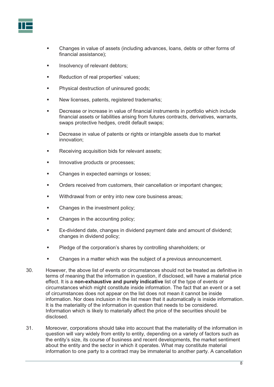

- - Changes in value of assets (including advances, loans, debts or other forms of financial assistance);
- -Insolvency of relevant debtors;
- -Reduction of real properties' values;
- -Physical destruction of uninsured goods;
- -New licenses, patents, registered trademarks;
- - Decrease or increase in value of financial instruments in portfolio which include financial assets or liabilities arising from futures contracts, derivatives, warrants, swaps protective hedges, credit default swaps;
- - Decrease in value of patents or rights or intangible assets due to market innovation;
- -Receiving acquisition bids for relevant assets;
- -Innovative products or processes;
- -Changes in expected earnings or losses;
- -Orders received from customers, their cancellation or important changes;
- -Withdrawal from or entry into new core business areas;
- -Changes in the investment policy;
- -Changes in the accounting policy;
- - Ex-dividend date, changes in dividend payment date and amount of dividend; changes in dividend policy;
- -Pledge of the corporation's shares by controlling shareholders; or
- -Changes in a matter which was the subject of a previous announcement.
- 30. However, the above list of events or circumstances should not be treated as definitive in terms of meaning that the information in question, if disclosed, will have a material price effect. It is a **non-exhaustive and purely indicative** list of the type of events or circumstances which might constitute inside information. The fact that an event or a set of circumstances does not appear on the list does not mean it cannot be inside information. Nor does inclusion in the list mean that it automatically is inside information. It is the materiality of the information in question that needs to be considered. Information which is likely to materially affect the price of the securities should be disclosed.
- 31. Moreover, corporations should take into account that the materiality of the information in question will vary widely from entity to entity, depending on a variety of factors such as the entity's size, its course of business and recent developments, the market sentiment about the entity and the sector in which it operates. What may constitute material information to one party to a contract may be immaterial to another party. A cancellation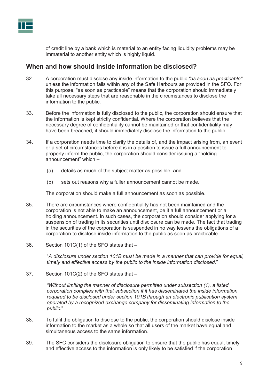

of credit line by a bank which is material to an entity facing liquidity problems may be immaterial to another entity which is highly liquid.

## **When and how should inside information be disclosed?**

- 32. A corporation must disclose any inside information to the public *"as soon as practicable"* unless the information falls within any of the Safe Harbours as provided in the SFO. For this purpose, "as soon as practicable" means that the corporation should immediately take all necessary steps that are reasonable in the circumstances to disclose the information to the public.
- 33. Before the information is fully disclosed to the public, the corporation should ensure that the information is kept strictly confidential. Where the corporation believes that the necessary degree of confidentiality cannot be maintained or that confidentiality may have been breached, it should immediately disclose the information to the public.
- 34. If a corporation needs time to clarify the details of, and the impact arising from, an event or a set of circumstances before it is in a position to issue a full announcement to properly inform the public, the corporation should consider issuing a "holding announcement" which –
	- (a) details as much of the subject matter as possible; and
	- (b) sets out reasons why a fuller announcement cannot be made.

The corporation should make a full announcement as soon as possible.

- 35. There are circumstances where confidentiality has not been maintained and the corporation is not able to make an announcement, be it a full announcement or a holding announcement. In such cases, the corporation should consider applying for a suspension of trading in its securities until disclosure can be made. The fact that trading in the securities of the corporation is suspended in no way lessens the obligations of a corporation to disclose inside information to the public as soon as practicable.
- 36. Section 101C(1) of the SFO states that –

"*A disclosure under section 101B must be made in a manner that can provide for equal, timely and effective access by the public to the inside information disclosed*."

37. Section 101C(2) of the SFO states that –

*"Without limiting the manner of disclosure permitted under subsection (1), a listed corporation complies with that subsection if it has disseminated the inside information required to be disclosed under section 101B through an electronic publication system operated by a recognized exchange company for disseminating information to the public.*"

- 38. To fulfil the obligation to disclose to the public, the corporation should disclose inside information to the market as a whole so that all users of the market have equal and simultaneous access to the same information.
- 39. The SFC considers the disclosure obligation to ensure that the public has equal, timely and effective access to the information is only likely to be satisfied if the corporation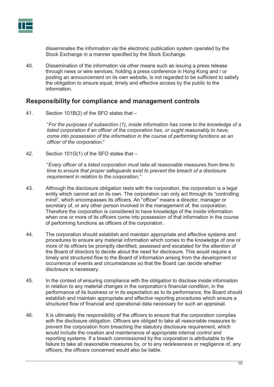

disseminates the information via the electronic publication system operated by the Stock Exchange in a manner specified by the Stock Exchange.

40. Dissemination of the information via other means such as issuing a press release through news or wire services, holding a press conference in Hong Kong and / or posting an announcement on its own website, is not regarded to be sufficient to satisfy the obligation to ensure equal, timely and effective access by the public to the information.

## **Responsibility for compliance and management controls**

41. Section 101B(2) of the SFO states that –

"*For the purposes of subsection (1), inside information has come to the knowledge of a*  listed corporation if an officer of the corporation has, or ought reasonably to have, *come into possession of the information in the course of performing functions as an officer of the corporation*."

42. Section 101G(1) of the SFO states that –

"*Every officer of a listed corporation must take all reasonable measures from time to time to ensure that proper safeguards exist to prevent the breach of a disclosure requirement in relation to the corporation."*

- 43. Although the disclosure obligation rests with the corporation, the corporation is a legal entity which cannot act on its own. The corporation can only act through its "controlling mind", which encompasses its officers. An "officer" means a director, manager or secretary of, or any other person involved in the management of, the corporation. Therefore the corporation is considered to have knowledge of the inside information when one or more of its officers come into possession of that information in the course of performing functions as officers of the corporation.
- 44. The corporation should establish and maintain appropriate and effective systems and procedures to ensure any material information which comes to the knowledge of one or more of its officers be promptly identified, assessed and escalated for the attention of the Board of directors to decide about the need for disclosure. This would require a timely and structured flow to the Board of information arising from the development or occurrence of events and circumstances so that the Board can decide whether disclosure is necessary.
- 45. In the context of ensuring compliance with the obligation to disclose inside information in relation to any material changes in the corporation's financial condition, in the performance of its business or in its expectation as to its performance, the Board should establish and maintain appropriate and effective reporting procedures which ensure a structured flow of financial and operational data necessary for such an appraisal.
- 46. It is ultimately the responsibility of the officers to ensure that the corporation complies with the disclosure obligation. Officers are obliged to take all reasonable measures to prevent the corporation from breaching the statutory disclosure requirement, which would include the creation and maintenance of appropriate internal control and reporting systems. If a breach commissioned by the corporation is attributable to the failure to take all reasonable measures by, or to any recklessness or negligence of, any officers, the officers concerned would also be liable.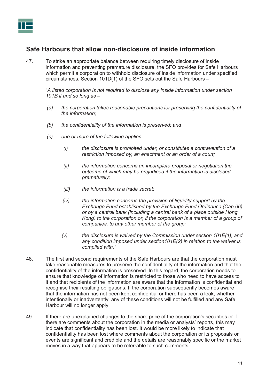

# **Safe Harbours that allow non-disclosure of inside information**

47. To strike an appropriate balance between requiring timely disclosure of inside information and preventing premature disclosure, the SFO provides for Safe Harbours which permit a corporation to withhold disclosure of inside information under specified circumstances. Section 101D(1) of the SFO sets out the Safe Harbours –

"*A listed corporation is not required to disclose any inside information under section 101B if and so long as –* 

- *(a) the corporation takes reasonable precautions for preserving the confidentiality of the information;*
- *(b) the confidentiality of the information is preserved; and*
- *(c) one or more of the following applies –* 
	- *(i) the disclosure is prohibited under, or constitutes a contravention of a restriction imposed by, an enactment or an order of a court;*
	- *(ii) the information concerns an incomplete proposal or negotiation the outcome of which may be prejudiced if the information is disclosed prematurely;*
	- *(iii) the information is a trade secret;*
	- *(iv) the information concerns the provision of liquidity support by the Exchange Fund established by the Exchange Fund Ordinance (Cap.66) or by a central bank (including a central bank of a place outside Hong Kong) to the corporation or, if the corporation is a member of a group of companies, to any other member of the group;*
	- *(v) the disclosure is waived by the Commission under section 101E(1), and any condition imposed under section101E(2) in relation to the waiver is complied with."*
- 48. The first and second requirements of the Safe Harbours are that the corporation must take reasonable measures to preserve the confidentiality of the information and that the confidentiality of the information is preserved. In this regard, the corporation needs to ensure that knowledge of information is restricted to those who need to have access to it and that recipients of the information are aware that the information is confidential and recognise their resulting obligations. If the corporation subsequently becomes aware that the information has not been kept confidential or there has been a leak, whether intentionally or inadvertently, any of these conditions will not be fulfilled and any Safe Harbour will no longer apply.
- 49. If there are unexplained changes to the share price of the corporation's securities or if there are comments about the corporation in the media or analysts' reports, this may indicate that confidentiality has been lost. It would be more likely to indicate that confidentiality has been lost where comments about the corporation or its proposals or events are significant and credible and the details are reasonably specific or the market moves in a way that appears to be referrable to such comments.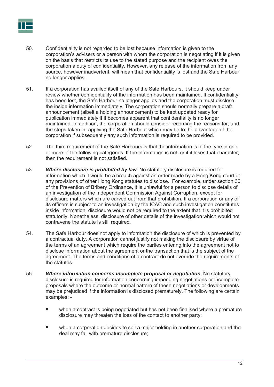

- 50. Confidentiality is not regarded to be lost because information is given to the corporation's advisers or a person with whom the corporation is negotiating if it is given on the basis that restricts its use to the stated purpose and the recipient owes the corporation a duty of confidentiality. However, any release of the information from any source, however inadvertent, will mean that confidentiality is lost and the Safe Harbour no longer applies.
- 51. If a corporation has availed itself of any of the Safe Harbours, it should keep under review whether confidentiality of the information has been maintained. If confidentiality has been lost, the Safe Harbour no longer applies and the corporation must disclose the inside information immediately. The corporation should normally prepare a draft announcement (albeit a holding announcement) to be kept updated ready for publication immediately if it becomes apparent that confidentiality is no longer maintained. In addition, the corporation should consider recording the reasons for, and the steps taken in, applying the Safe Harbour which may be to the advantage of the corporation if subsequently any such information is required to be provided.
- 52. The third requirement of the Safe Harbours is that the information is of the type in one or more of the following categories. If the information is not, or if it loses that character, then the requirement is not satisfied.
- 53. *Where disclosure is prohibited by law*. No statutory disclosure is required for information which it would be a breach against an order made by a Hong Kong court or any provisions of other Hong Kong statutes to disclose. For example, under section 30 of the Prevention of Bribery Ordinance, it is unlawful for a person to disclose details of an investigation of the Independent Commission Against Corruption, except for disclosure matters which are carved out from that prohibition. If a corporation or any of its officers is subject to an investigation by the ICAC and such investigation constitutes inside information, disclosure would not be required to the extent that it is prohibited statutorily. Nonetheless, disclosure of other details of the investigation which would not contravene the statute is still required.
- 54. The Safe Harbour does not apply to information the disclosure of which is prevented by a contractual duty. A corporation cannot justify not making the disclosure by virtue of the terms of an agreement which require the parties entering into the agreement not to disclose information about the agreement or the transaction that is the subject of the agreement. The terms and conditions of a contract do not override the requirements of the statutes.
- 55. *Where information concerns incomplete proposal or negotiation.* No statutory disclosure is required for information concerning impending negotiations or incomplete proposals where the outcome or normal pattern of these negotiations or developments may be prejudiced if the information is disclosed prematurely. The following are certain examples: -
	- when a contract is being negotiated but has not been finalised where a premature disclosure may threaten the loss of the contact to another party;
	- when a corporation decides to sell a major holding in another corporation and the deal may fail with premature disclosure;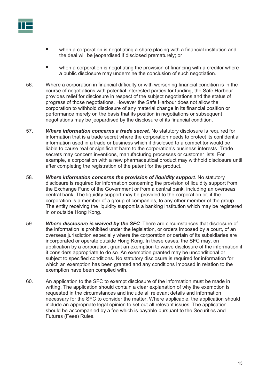

- when a corporation is negotiating a share placing with a financial institution and the deal will be jeopardised if disclosed prematurely; or
- when a corporation is negotiating the provision of financing with a creditor where a public disclosure may undermine the conclusion of such negotiation.
- 56. Where a corporation in financial difficulty or with worsening financial condition is in the course of negotiations with potential interested parties for funding, the Safe Harbour provides relief for disclosure in respect of the subject negotiations and the status of progress of those negotiations. However the Safe Harbour does not allow the corporation to withhold disclosure of any material change in its financial position or performance merely on the basis that its position in negotiations or subsequent negotiations may be jeopardised by the disclosure of its financial condition.
- 57. *Where information concerns a trade secret*. No statutory disclosure is required for information that is a trade secret where the corporation needs to protect its confidential information used in a trade or business which if disclosed to a competitor would be liable to cause real or significant harm to the corporation's business interests. Trade secrets may concern inventions, manufacturing processes or customer lists. For example, a corporation with a new pharmaceutical product may withhold disclosure until after completing the registration of the patent for the product.
- 58. *Where information concerns the provision of liquidity support*. No statutory disclosure is required for information concerning the provision of liquidity support from the Exchange Fund of the Government or from a central bank, including an overseas central bank*.* The liquidity support may be provided to the corporation or, if the corporation is a member of a group of companies, to any other member of the group. The entity receiving the liquidity support is a banking institution which may be registered in or outside Hong Kong.
- 59. *Where disclosure is waived by the SFC*. There are circumstances that disclosure of the information is prohibited under the legislation, or orders imposed by a court, of an overseas jurisdiction especially where the corporation or certain of its subsidiaries are incorporated or operate outside Hong Kong. In these cases, the SFC may, on application by a corporation, grant an exemption to waive disclosure of the information if it considers appropriate to do so. An exemption granted may be unconditional or subject to specified conditions. No statutory disclosure is required for information for which an exemption has been granted and any conditions imposed in relation to the exemption have been complied with.
- 60. An application to the SFC to exempt disclosure of the information must be made in writing. The application should contain a clear explanation of why the exemption is requested in the circumstances and include all relevant details and information necessary for the SFC to consider the matter. Where applicable, the application should include an appropriate legal opinion to set out all relevant issues. The application should be accompanied by a fee which is payable pursuant to the Securities and Futures (Fees) Rules.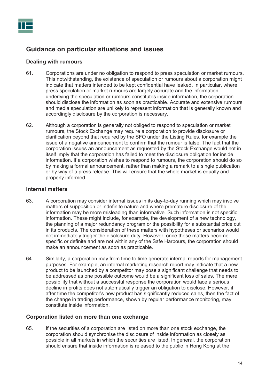

# **Guidance on particular situations and issues**

#### **Dealing with rumours**

- 61. Corporations are under no obligation to respond to press speculation or market rumours. This notwithstanding, the existence of speculation or rumours about a corporation might indicate that matters intended to be kept confidential have leaked. In particular, where press speculation or market rumours are largely accurate and the information underlying the speculation or rumours constitutes inside information, the corporation should disclose the information as soon as practicable. Accurate and extensive rumours and media speculation are unlikely to represent information that is generally known and accordingly disclosure by the corporation is necessary.
- 62. Although a corporation is generally not obliged to respond to speculation or market rumours, the Stock Exchange may require a corporation to provide disclosure or clarification beyond that required by the SFO under the Listing Rules, for example the issue of a negative announcement to confirm that the rumour is false. The fact that the corporation issues an announcement as requested by the Stock Exchange would not in itself imply that the corporation has failed to meet the disclosure obligation for inside information. If a corporation wishes to respond to rumours, the corporation should do so by making a formal announcement, rather than making a remark to a single publication or by way of a press release. This will ensure that the whole market is equally and properly informed.

#### **Internal matters**

- 63. A corporation may consider internal issues in its day-to-day running which may involve matters of supposition or indefinite nature and where premature disclosure of the information may be more misleading than informative. Such information is not specific information. These might include, for example, the development of a new technology, the planning of a major redundancy program or the possibility for a substantial price cut in its products. The consideration of these matters with hypotheses or scenarios would not immediately trigger the disclosure duty. However, once these matters become specific or definite and are not within any of the Safe Harbours, the corporation should make an announcement as soon as practicable.
- 64. Similarly, a corporation may from time to time generate internal reports for management purposes. For example, an internal marketing research report may indicate that a new product to be launched by a competitor may pose a significant challenge that needs to be addressed as one possible outcome would be a significant loss of sales. The mere possibility that without a successful response the corporation would face a serious decline in profits does not automatically trigger an obligation to disclose. However, if after time the competitor's new product has significantly reduced sales, then the fact of the change in trading performance, shown by regular performance monitoring, may constitute inside information.

#### **Corporation listed on more than one exchange**

65. If the securities of a corporation are listed on more than one stock exchange, the corporation should synchronise the disclosure of inside information as closely as possible in all markets in which the securities are listed. In general, the corporation should ensure that inside information is released to the public in Hong Kong at the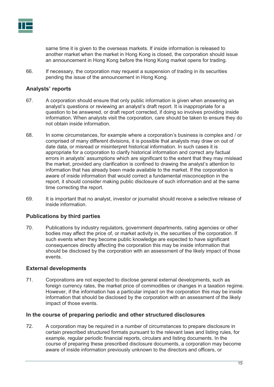

same time it is given to the overseas markets. If inside information is released to another market when the market in Hong Kong is closed, the corporation should issue an announcement in Hong Kong before the Hong Kong market opens for trading.

66. If necessary, the corporation may request a suspension of trading in its securities pending the issue of the announcement in Hong Kong.

#### **Analysts' reports**

- 67. A corporation should ensure that only public information is given when answering an analyst's questions or reviewing an analyst's draft report. It is inappropriate for a question to be answered, or draft report corrected, if doing so involves providing inside information. When analysts visit the corporation, care should be taken to ensure they do not obtain inside information.
- 68. In some circumstances, for example where a corporation's business is complex and / or comprised of many different divisions, it is possible that analysts may draw on out of date data, or misread or misinterpret historical information. In such cases it is appropriate for a corporation to clarify historical information and correct any factual errors in analysts' assumptions which are significant to the extent that they may mislead the market, provided any clarification is confined to drawing the analyst's attention to information that has already been made available to the market. If the corporation is aware of inside information that would correct a fundamental misconception in the report, it should consider making public disclosure of such information and at the same time correcting the report.
- 69. It is important that no analyst, investor or journalist should receive a selective release of inside information.

#### **Publications by third parties**

70. Publications by industry regulators, government departments, rating agencies or other bodies may affect the price of, or market activity in, the securities of the corporation. If such events when they become public knowledge are expected to have significant consequences directly affecting the corporation this may be inside information that should be disclosed by the corporation with an assessment of the likely impact of those events.

#### **External developments**

71. Corporations are not expected to disclose general external developments, such as foreign currency rates, the market price of commodities or changes in a taxation regime. However, if the information has a particular impact on the corporation this may be inside information that should be disclosed by the corporation with an assessment of the likely impact of those events.

#### **In the course of preparing periodic and other structured disclosures**

72. A corporation may be required in a number of circumstances to prepare disclosure in certain prescribed structured formats pursuant to the relevant laws and listing rules, for example, regular periodic financial reports, circulars and listing documents. In the course of preparing these prescribed disclosure documents, a corporation may become aware of inside information previously unknown to the directors and officers, or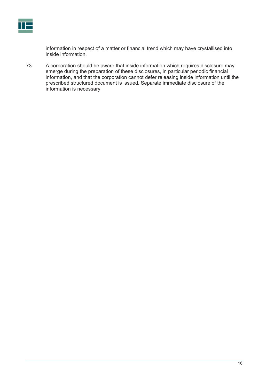

information in respect of a matter or financial trend which may have crystallised into inside information.

73. A corporation should be aware that inside information which requires disclosure may emerge during the preparation of these disclosures, in particular periodic financial information, and that the corporation cannot defer releasing inside information until the prescribed structured document is issued. Separate immediate disclosure of the information is necessary.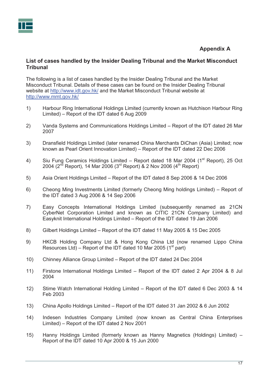## **Appendix A**

#### **List of cases handled by the Insider Dealing Tribunal and the Market Misconduct Tribunal**

The following is a list of cases handled by the Insider Dealing Tribunal and the Market Misconduct Tribunal. Details of these cases can be found on the Insider Dealing Tribunal website at http://www.idt.gov.hk/ and the Market Misconduct Tribunal website at http://www.mmt.gov.hk/

- 1) Harbour Ring International Holdings Limited (currently known as Hutchison Harbour Ring Limited) – Report of the IDT dated 6 Aug 2009
- 2) Vanda Systems and Communications Holdings Limited Report of the IDT dated 26 Mar 2007
- 3) Dransfield Holdings Limited (later renamed China Merchants DiChan (Asia) Limited; now known as Pearl Orient Innovation Limited) – Report of the IDT dated 22 Dec 2006
- 4) Siu Fung Ceramics Holdings Limited Report dated 18 Mar 2004 (1<sup>st</sup> Report), 25 Oct 2004 (2<sup>nd</sup> Report), 14 Mar 2006 (3<sup>rd</sup> Report) & 2 Nov 2006 (4<sup>th</sup> Report)
- 5) Asia Orient Holdings Limited Report of the IDT dated 8 Sep 2006 & 14 Dec 2006
- 6) Cheong Ming Investments Limited (formerly Cheong Ming holdings Limited) Report of the IDT dated 3 Aug 2006 & 14 Sep 2006
- 7) Easy Concepts International Holdings Limited (subsequently renamed as 21CN CyberNet Corporation Limited and known as CITIC 21CN Company Limited) and Easyknit International Holdings Limited – Report of the IDT dated 19 Jan 2006
- 8) Gilbert Holdings Limited Report of the IDT dated 11 May 2005 & 15 Dec 2005
- 9) HKCB Holding Company Ltd & Hong Kong China Ltd (now renamed Lippo China Resources Ltd) – Report of the IDT dated 10 Mar 2005 ( $1<sup>st</sup>$  part)
- 10) Chinney Alliance Group Limited Report of the IDT dated 24 Dec 2004
- 11) Firstone International Holdings Limited Report of the IDT dated 2 Apr 2004 & 8 Jul 2004
- 12) Stime Watch International Holding Limited Report of the IDT dated 6 Dec 2003 & 14 Feb 2003
- 13) China Apollo Holdings Limited Report of the IDT dated 31 Jan 2002 & 6 Jun 2002
- 14) Indesen Industries Company Limited (now known as Central China Enterprises Limited) – Report of the IDT dated 2 Nov 2001
- 15) Hanny Holdings Limited (formerly known as Hanny Magnetics (Holdings) Limited) Report of the IDT dated 10 Apr 2000 & 15 Jun 2000